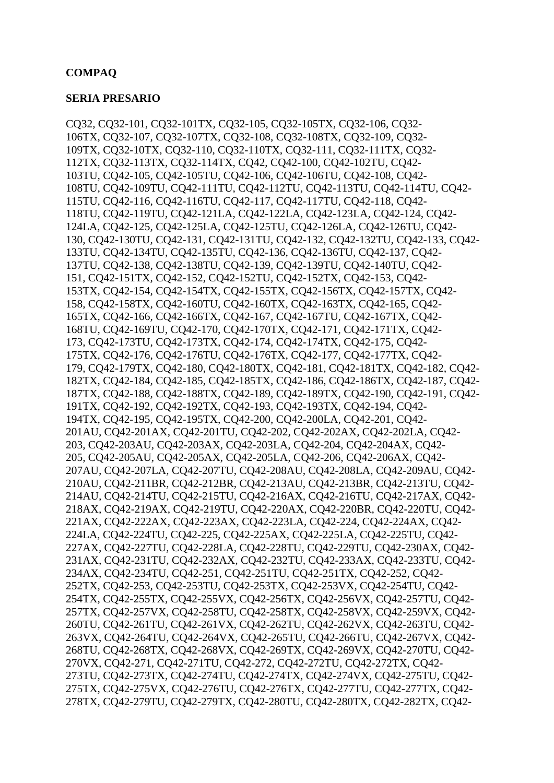# **COMPAQ**

## **SERIA PRESARIO**

CQ32*,* CQ32-101*,* CQ32-101TX*,* CQ32-105*,* CQ32-105TX*,* CQ32-106*,* CQ32- 106TX*,* CQ32-107*,* CQ32-107TX*,* CQ32-108*,* CQ32-108TX*,* CQ32-109*,* CQ32- 109TX*,* CQ32-10TX*,* CQ32-110*,* CQ32-110TX*,* CQ32-111*,* CQ32-111TX*,* CQ32- 112TX*,* CQ32-113TX*,* CQ32-114TX*,* CQ42*,* CQ42-100*,* CQ42-102TU*,* CQ42- 103TU*,* CQ42-105*,* CQ42-105TU*,* CQ42-106*,* CQ42-106TU*,* CQ42-108*,* CQ42- 108TU*,* CQ42-109TU*,* CQ42-111TU*,* CQ42-112TU*,* CQ42-113TU*,* CQ42-114TU*,* CQ42- 115TU*,* CQ42-116*,* CQ42-116TU*,* CQ42-117*,* CQ42-117TU*,* CQ42-118*,* CQ42- 118TU*,* CQ42-119TU*,* CQ42-121LA*,* CQ42-122LA*,* CQ42-123LA*,* CQ42-124*,* CQ42- 124LA*,* CQ42-125*,* CQ42-125LA*,* CQ42-125TU*,* CQ42-126LA*,* CQ42-126TU*,* CQ42- 130*,* CQ42-130TU*,* CQ42-131*,* CQ42-131TU*,* CQ42-132*,* CQ42-132TU*,* CQ42-133*,* CQ42- 133TU*,* CQ42-134TU*,* CQ42-135TU*,* CQ42-136*,* CQ42-136TU*,* CQ42-137*,* CQ42- 137TU*,* CQ42-138*,* CQ42-138TU*,* CQ42-139*,* CQ42-139TU*,* CQ42-140TU*,* CQ42- 151*,* CQ42-151TX*,* CQ42-152*,* CQ42-152TU*,* CQ42-152TX*,* CQ42-153*,* CQ42- 153TX*,* CQ42-154*,* CQ42-154TX*,* CQ42-155TX*,* CQ42-156TX*,* CQ42-157TX*,* CQ42- 158*,* CQ42-158TX*,* CQ42-160TU*,* CQ42-160TX*,* CQ42-163TX*,* CQ42-165*,* CQ42- 165TX*,* CQ42-166*,* CQ42-166TX*,* CQ42-167*,* CQ42-167TU*,* CQ42-167TX*,* CQ42- 168TU*,* CQ42-169TU*,* CQ42-170*,* CQ42-170TX*,* CQ42-171*,* CQ42-171TX*,* CQ42- 173*,* CQ42-173TU*,* CQ42-173TX*,* CQ42-174*,* CQ42-174TX*,* CQ42-175*,* CQ42- 175TX*,* CQ42-176*,* CQ42-176TU*,* CQ42-176TX*,* CQ42-177*,* CQ42-177TX*,* CQ42- 179*,* CQ42-179TX*,* CQ42-180*,* CQ42-180TX*,* CQ42-181*,* CQ42-181TX*,* CQ42-182*,* CQ42- 182TX*,* CQ42-184*,* CQ42-185*,* CQ42-185TX*,* CQ42-186*,* CQ42-186TX*,* CQ42-187*,* CQ42- 187TX*,* CQ42-188*,* CQ42-188TX*,* CQ42-189*,* CQ42-189TX*,* CQ42-190*,* CQ42-191*,* CQ42- 191TX*,* CQ42-192*,* CQ42-192TX*,* CQ42-193*,* CQ42-193TX*,* CQ42-194*,* CQ42- 194TX*,* CQ42-195*,* CQ42-195TX*,* CQ42-200*,* CQ42-200LA*,* CQ42-201*,* CQ42- 201AU*,* CQ42-201AX*,* CQ42-201TU*,* CQ42-202*,* CQ42-202AX*,* CQ42-202LA*,* CQ42- 203*,* CQ42-203AU*,* CQ42-203AX*,* CQ42-203LA*,* CQ42-204*,* CQ42-204AX*,* CQ42- 205*,* CQ42-205AU*,* CQ42-205AX*,* CQ42-205LA*,* CQ42-206*,* CQ42-206AX*,* CQ42- 207AU*,* CQ42-207LA*,* CQ42-207TU*,* CQ42-208AU*,* CQ42-208LA*,* CQ42-209AU*,* CQ42- 210AU*,* CQ42-211BR*,* CQ42-212BR*,* CQ42-213AU*,* CQ42-213BR*,* CQ42-213TU*,* CQ42- 214AU*,* CQ42-214TU*,* CQ42-215TU*,* CQ42-216AX*,* CQ42-216TU*,* CQ42-217AX*,* CQ42- 218AX*,* CQ42-219AX*,* CQ42-219TU*,* CQ42-220AX*,* CQ42-220BR*,* CQ42-220TU*,* CQ42- 221AX*,* CQ42-222AX*,* CQ42-223AX*,* CQ42-223LA*,* CQ42-224*,* CQ42-224AX*,* CQ42- 224LA*,* CQ42-224TU*,* CQ42-225*,* CQ42-225AX*,* CQ42-225LA*,* CQ42-225TU*,* CQ42- 227AX*,* CQ42-227TU*,* CQ42-228LA*,* CQ42-228TU*,* CQ42-229TU*,* CQ42-230AX*,* CQ42- 231AX*,* CQ42-231TU*,* CQ42-232AX*,* CQ42-232TU*,* CQ42-233AX*,* CQ42-233TU*,* CQ42- 234AX*,* CQ42-234TU*,* CQ42-251*,* CQ42-251TU*,* CQ42-251TX*,* CQ42-252*,* CQ42- 252TX*,* CQ42-253*,* CQ42-253TU*,* CQ42-253TX*,* CQ42-253VX*,* CQ42-254TU*,* CQ42- 254TX*,* CQ42-255TX*,* CQ42-255VX*,* CQ42-256TX*,* CQ42-256VX*,* CQ42-257TU*,* CQ42- 257TX*,* CQ42-257VX*,* CQ42-258TU*,* CQ42-258TX*,* CQ42-258VX*,* CQ42-259VX*,* CQ42- 260TU*,* CQ42-261TU*,* CQ42-261VX*,* CQ42-262TU*,* CQ42-262VX*,* CQ42-263TU*,* CQ42- 263VX*,* CQ42-264TU*,* CQ42-264VX*,* CQ42-265TU*,* CQ42-266TU*,* CQ42-267VX*,* CQ42- 268TU*,* CQ42-268TX*,* CQ42-268VX*,* CQ42-269TX*,* CQ42-269VX*,* CQ42-270TU*,* CQ42- 270VX*,* CQ42-271*,* CQ42-271TU*,* CQ42-272*,* CQ42-272TU*,* CQ42-272TX*,* CQ42- 273TU*,* CQ42-273TX*,* CQ42-274TU*,* CQ42-274TX*,* CQ42-274VX*,* CQ42-275TU*,* CQ42- 275TX*,* CQ42-275VX*,* CQ42-276TU*,* CQ42-276TX*,* CQ42-277TU*,* CQ42-277TX*,* CQ42- 278TX*,* CQ42-279TU*,* CQ42-279TX*,* CQ42-280TU*,* CQ42-280TX*,* CQ42-282TX*,* CQ42-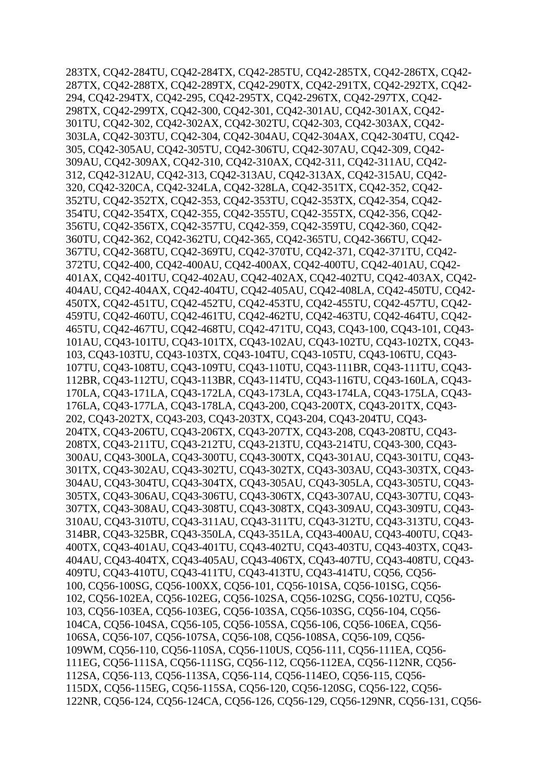283TX*,* CQ42-284TU*,* CQ42-284TX*,* CQ42-285TU*,* CQ42-285TX*,* CQ42-286TX*,* CQ42- 287TX*,* CQ42-288TX*,* CQ42-289TX*,* CQ42-290TX*,* CQ42-291TX*,* CQ42-292TX*,* CQ42- 294*,* CQ42-294TX*,* CQ42-295*,* CQ42-295TX*,* CQ42-296TX*,* CQ42-297TX*,* CQ42- 298TX*,* CQ42-299TX*,* CQ42-300*,* CQ42-301*,* CQ42-301AU*,* CQ42-301AX*,* CQ42- 301TU*,* CQ42-302*,* CQ42-302AX*,* CQ42-302TU*,* CQ42-303*,* CQ42-303AX*,* CQ42- 303LA*,* CQ42-303TU*,* CQ42-304*,* CQ42-304AU*,* CQ42-304AX*,* CQ42-304TU*,* CQ42- 305*,* CQ42-305AU*,* CQ42-305TU*,* CQ42-306TU*,* CQ42-307AU*,* CQ42-309*,* CQ42- 309AU*,* CQ42-309AX*,* CQ42-310*,* CQ42-310AX*,* CQ42-311*,* CQ42-311AU*,* CQ42- 312*,* CQ42-312AU*,* CQ42-313*,* CQ42-313AU*,* CQ42-313AX*,* CQ42-315AU*,* CQ42- 320*,* CQ42-320CA*,* CQ42-324LA*,* CQ42-328LA*,* CQ42-351TX*,* CQ42-352*,* CQ42- 352TU*,* CQ42-352TX*,* CQ42-353*,* CQ42-353TU*,* CQ42-353TX*,* CQ42-354*,* CQ42- 354TU*,* CQ42-354TX*,* CQ42-355*,* CQ42-355TU*,* CQ42-355TX*,* CQ42-356*,* CQ42- 356TU*,* CQ42-356TX*,* CQ42-357TU*,* CQ42-359*,* CQ42-359TU*,* CQ42-360*,* CQ42- 360TU*,* CQ42-362*,* CQ42-362TU*,* CQ42-365*,* CQ42-365TU*,* CQ42-366TU*,* CQ42- 367TU*,* CQ42-368TU*,* CQ42-369TU*,* CQ42-370TU*,* CQ42-371*,* CQ42-371TU*,* CQ42- 372TU*,* CQ42-400*,* CQ42-400AU*,* CQ42-400AX*,* CQ42-400TU*,* CQ42-401AU*,* CQ42- 401AX*,* CQ42-401TU*,* CQ42-402AU*,* CQ42-402AX*,* CQ42-402TU*,* CQ42-403AX*,* CQ42- 404AU*,* CQ42-404AX*,* CQ42-404TU*,* CQ42-405AU*,* CQ42-408LA*,* CQ42-450TU*,* CQ42- 450TX*,* CQ42-451TU*,* CQ42-452TU*,* CQ42-453TU*,* CQ42-455TU*,* CQ42-457TU*,* CQ42- 459TU*,* CQ42-460TU*,* CQ42-461TU*,* CQ42-462TU*,* CQ42-463TU*,* CQ42-464TU*,* CQ42- 465TU*,* CQ42-467TU*,* CQ42-468TU*,* CQ42-471TU*,* CQ43*,* CQ43-100*,* CQ43-101*,* CQ43- 101AU*,* CQ43-101TU*,* CQ43-101TX*,* CQ43-102AU*,* CQ43-102TU*,* CQ43-102TX*,* CQ43- 103*,* CQ43-103TU*,* CQ43-103TX*,* CQ43-104TU*,* CQ43-105TU*,* CQ43-106TU*,* CQ43- 107TU*,* CQ43-108TU*,* CQ43-109TU*,* CQ43-110TU*,* CQ43-111BR*,* CQ43-111TU*,* CQ43- 112BR*,* CQ43-112TU*,* CQ43-113BR*,* CQ43-114TU*,* CQ43-116TU*,* CQ43-160LA*,* CQ43- 170LA*,* CQ43-171LA*,* CQ43-172LA*,* CQ43-173LA*,* CQ43-174LA*,* CQ43-175LA*,* CQ43- 176LA*,* CQ43-177LA*,* CQ43-178LA*,* CQ43-200*,* CQ43-200TX*,* CQ43-201TX*,* CQ43- 202*,* CQ43-202TX*,* CQ43-203*,* CQ43-203TX*,* CQ43-204*,* CQ43-204TU*,* CQ43- 204TX*,* CQ43-206TU*,* CQ43-206TX*,* CQ43-207TX*,* CQ43-208*,* CQ43-208TU*,* CQ43- 208TX*,* CQ43-211TU*,* CQ43-212TU*,* CQ43-213TU*,* CQ43-214TU*,* CQ43-300*,* CQ43- 300AU*,* CQ43-300LA*,* CQ43-300TU*,* CQ43-300TX*,* CQ43-301AU*,* CQ43-301TU*,* CQ43- 301TX*,* CQ43-302AU*,* CQ43-302TU*,* CQ43-302TX*,* CQ43-303AU*,* CQ43-303TX*,* CQ43- 304AU*,* CQ43-304TU*,* CQ43-304TX*,* CQ43-305AU*,* CQ43-305LA*,* CQ43-305TU*,* CQ43- 305TX*,* CQ43-306AU*,* CQ43-306TU*,* CQ43-306TX*,* CQ43-307AU*,* CQ43-307TU*,* CQ43- 307TX*,* CQ43-308AU*,* CQ43-308TU*,* CQ43-308TX*,* CQ43-309AU*,* CQ43-309TU*,* CQ43- 310AU*,* CQ43-310TU*,* CQ43-311AU*,* CQ43-311TU*,* CQ43-312TU*,* CQ43-313TU*,* CQ43- 314BR*,* CQ43-325BR*,* CQ43-350LA*,* CQ43-351LA*,* CQ43-400AU*,* CQ43-400TU*,* CQ43- 400TX*,* CQ43-401AU*,* CQ43-401TU*,* CQ43-402TU*,* CQ43-403TU*,* CQ43-403TX*,* CQ43- 404AU*,* CQ43-404TX*,* CQ43-405AU*,* CQ43-406TX*,* CQ43-407TU*,* CQ43-408TU*,* CQ43- 409TU*,* CQ43-410TU*,* CQ43-411TU*,* CQ43-413TU*,* CQ43-414TU*,* CQ56*,* CQ56- 100*,* CQ56-100SG*,* CQ56-100XX*,* CQ56-101*,* CQ56-101SA*,* CQ56-101SG*,* CQ56- 102*,* CQ56-102EA*,* CQ56-102EG*,* CQ56-102SA*,* CQ56-102SG*,* CQ56-102TU*,* CQ56- 103*,* CQ56-103EA*,* CQ56-103EG*,* CQ56-103SA*,* CQ56-103SG*,* CQ56-104*,* CQ56- 104CA*,* CQ56-104SA*,* CQ56-105*,* CQ56-105SA*,* CQ56-106*,* CQ56-106EA*,* CQ56- 106SA*,* CQ56-107*,* CQ56-107SA*,* CQ56-108*,* CQ56-108SA*,* CQ56-109*,* CQ56- 109WM*,* CQ56-110*,* CQ56-110SA*,* CQ56-110US*,* CQ56-111*,* CQ56-111EA*,* CQ56- 111EG*,* CQ56-111SA*,* CQ56-111SG*,* CQ56-112*,* CQ56-112EA*,* CQ56-112NR*,* CQ56- 112SA*,* CQ56-113*,* CQ56-113SA*,* CQ56-114*,* CQ56-114EO*,* CQ56-115*,* CQ56- 115DX*,* CQ56-115EG*,* CQ56-115SA*,* CQ56-120*,* CQ56-120SG*,* CQ56-122*,* CQ56- 122NR*,* CQ56-124*,* CQ56-124CA*,* CQ56-126*,* CQ56-129*,* CQ56-129NR*,* CQ56-131*,* CQ56-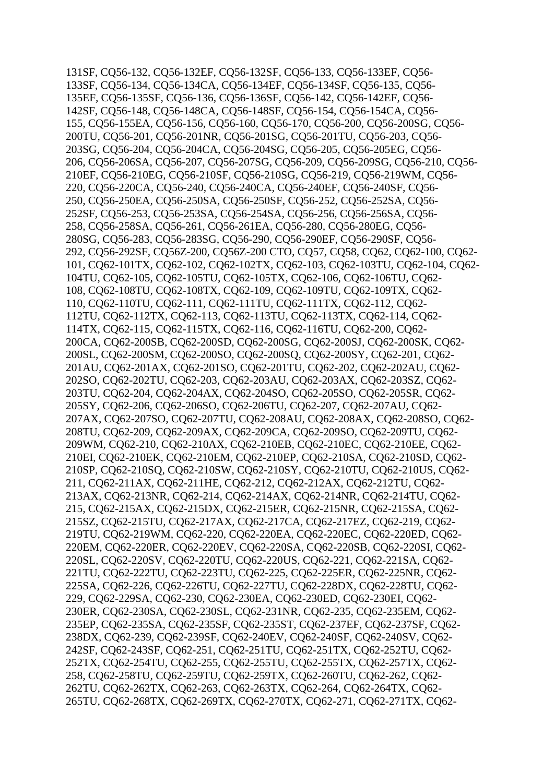131SF*,* CQ56-132*,* CQ56-132EF*,* CQ56-132SF*,* CQ56-133*,* CQ56-133EF*,* CQ56- 133SF*,* CQ56-134*,* CQ56-134CA*,* CQ56-134EF*,* CQ56-134SF*,* CQ56-135*,* CQ56- 135EF*,* CQ56-135SF*,* CQ56-136*,* CQ56-136SF*,* CQ56-142*,* CQ56-142EF*,* CQ56- 142SF*,* CQ56-148*,* CQ56-148CA*,* CQ56-148SF*,* CQ56-154*,* CQ56-154CA*,* CQ56- 155*,* CQ56-155EA*,* CQ56-156*,* CQ56-160*,* CQ56-170*,* CQ56-200*,* CQ56-200SG*,* CQ56- 200TU*,* CQ56-201*,* CQ56-201NR*,* CQ56-201SG*,* CQ56-201TU*,* CQ56-203*,* CQ56- 203SG*,* CQ56-204*,* CQ56-204CA*,* CQ56-204SG*,* CQ56-205*,* CQ56-205EG*,* CQ56- 206*,* CQ56-206SA*,* CQ56-207*,* CQ56-207SG*,* CQ56-209*,* CQ56-209SG*,* CQ56-210*,* CQ56- 210EF*,* CQ56-210EG*,* CQ56-210SF*,* CQ56-210SG*,* CQ56-219*,* CQ56-219WM*,* CQ56- 220*,* CQ56-220CA*,* CQ56-240*,* CQ56-240CA*,* CQ56-240EF*,* CQ56-240SF*,* CQ56- 250*,* CQ56-250EA*,* CQ56-250SA*,* CQ56-250SF*,* CQ56-252*,* CQ56-252SA*,* CQ56- 252SF*,* CQ56-253*,* CQ56-253SA*,* CQ56-254SA*,* CQ56-256*,* CQ56-256SA*,* CQ56- 258*,* CQ56-258SA*,* CQ56-261*,* CQ56-261EA*,* CQ56-280*,* CQ56-280EG*,* CQ56- 280SG*,* CQ56-283*,* CQ56-283SG*,* CQ56-290*,* CQ56-290EF*,* CQ56-290SF*,* CQ56- 292*,* CQ56-292SF*,* CQ56Z-200*,* CQ56Z-200 CTO*,* CQ57*,* CQ58*,* CQ62*,* CQ62-100*,* CQ62- 101*,* CQ62-101TX*,* CQ62-102*,* CQ62-102TX*,* CQ62-103*,* CQ62-103TU*,* CQ62-104*,* CQ62- 104TU*,* CQ62-105*,* CQ62-105TU*,* CQ62-105TX*,* CQ62-106*,* CQ62-106TU*,* CQ62- 108*,* CQ62-108TU*,* CQ62-108TX*,* CQ62-109*,* CQ62-109TU*,* CQ62-109TX*,* CQ62- 110*,* CQ62-110TU*,* CQ62-111*,* CQ62-111TU*,* CQ62-111TX*,* CQ62-112*,* CQ62- 112TU*,* CQ62-112TX*,* CQ62-113*,* CQ62-113TU*,* CQ62-113TX*,* CQ62-114*,* CQ62- 114TX*,* CQ62-115*,* CQ62-115TX*,* CQ62-116*,* CQ62-116TU*,* CQ62-200*,* CQ62- 200CA*,* CQ62-200SB*,* CQ62-200SD*,* CQ62-200SG*,* CQ62-200SJ*,* CQ62-200SK*,* CQ62- 200SL*,* CQ62-200SM*,* CQ62-200SO*,* CQ62-200SQ*,* CQ62-200SY*,* CQ62-201*,* CQ62- 201AU*,* CQ62-201AX*,* CQ62-201SO*,* CQ62-201TU*,* CQ62-202*,* CQ62-202AU*,* CQ62- 202SO*,* CQ62-202TU*,* CQ62-203*,* CQ62-203AU*,* CQ62-203AX*,* CQ62-203SZ*,* CQ62- 203TU*,* CQ62-204*,* CQ62-204AX*,* CQ62-204SO*,* CQ62-205SO*,* CQ62-205SR*,* CQ62- 205SY*,* CQ62-206*,* CQ62-206SO*,* CQ62-206TU*,* CQ62-207*,* CQ62-207AU*,* CQ62- 207AX*,* CQ62-207SO*,* CQ62-207TU*,* CQ62-208AU*,* CQ62-208AX*,* CQ62-208SO*,* CQ62- 208TU*,* CQ62-209*,* CQ62-209AX*,* CQ62-209CA*,* CQ62-209SO*,* CQ62-209TU*,* CQ62- 209WM*,* CQ62-210*,* CQ62-210AX*,* CQ62-210EB*,* CQ62-210EC*,* CQ62-210EE*,* CQ62- 210EI*,* CQ62-210EK*,* CQ62-210EM*,* CQ62-210EP*,* CQ62-210SA*,* CQ62-210SD*,* CQ62- 210SP*,* CQ62-210SQ*,* CQ62-210SW*,* CQ62-210SY*,* CQ62-210TU*,* CQ62-210US*,* CQ62- 211*,* CQ62-211AX*,* CQ62-211HE*,* CQ62-212*,* CQ62-212AX*,* CQ62-212TU*,* CQ62- 213AX*,* CQ62-213NR*,* CQ62-214*,* CQ62-214AX*,* CQ62-214NR*,* CQ62-214TU*,* CQ62- 215*,* CQ62-215AX*,* CQ62-215DX*,* CQ62-215ER*,* CQ62-215NR*,* CQ62-215SA*,* CQ62- 215SZ*,* CQ62-215TU*,* CQ62-217AX*,* CQ62-217CA*,* CQ62-217EZ*,* CQ62-219*,* CQ62- 219TU*,* CQ62-219WM*,* CQ62-220*,* CQ62-220EA*,* CQ62-220EC*,* CQ62-220ED*,* CQ62- 220EM*,* CQ62-220ER*,* CQ62-220EV*,* CQ62-220SA*,* CQ62-220SB*,* CQ62-220SI*,* CQ62- 220SL*,* CQ62-220SV*,* CQ62-220TU*,* CQ62-220US*,* CQ62-221*,* CQ62-221SA*,* CQ62- 221TU*,* CQ62-222TU*,* CQ62-223TU*,* CQ62-225*,* CQ62-225ER*,* CQ62-225NR*,* CQ62- 225SA*,* CQ62-226*,* CQ62-226TU*,* CQ62-227TU*,* CQ62-228DX*,* CQ62-228TU*,* CQ62- 229*,* CQ62-229SA*,* CQ62-230*,* CQ62-230EA*,* CQ62-230ED*,* CQ62-230EI*,* CQ62- 230ER*,* CQ62-230SA*,* CQ62-230SL*,* CQ62-231NR*,* CQ62-235*,* CQ62-235EM*,* CQ62- 235EP*,* CQ62-235SA*,* CQ62-235SF*,* CQ62-235ST*,* CQ62-237EF*,* CQ62-237SF*,* CQ62- 238DX*,* CQ62-239*,* CQ62-239SF*,* CQ62-240EV*,* CQ62-240SF*,* CQ62-240SV*,* CQ62- 242SF*,* CQ62-243SF*,* CQ62-251*,* CQ62-251TU*,* CQ62-251TX*,* CQ62-252TU*,* CQ62- 252TX*,* CQ62-254TU*,* CQ62-255*,* CQ62-255TU*,* CQ62-255TX*,* CQ62-257TX*,* CQ62- 258*,* CQ62-258TU*,* CQ62-259TU*,* CQ62-259TX*,* CQ62-260TU*,* CQ62-262*,* CQ62- 262TU*,* CQ62-262TX*,* CQ62-263*,* CQ62-263TX*,* CQ62-264*,* CQ62-264TX*,* CQ62- 265TU*,* CQ62-268TX*,* CQ62-269TX*,* CQ62-270TX*,* CQ62-271*,* CQ62-271TX*,* CQ62-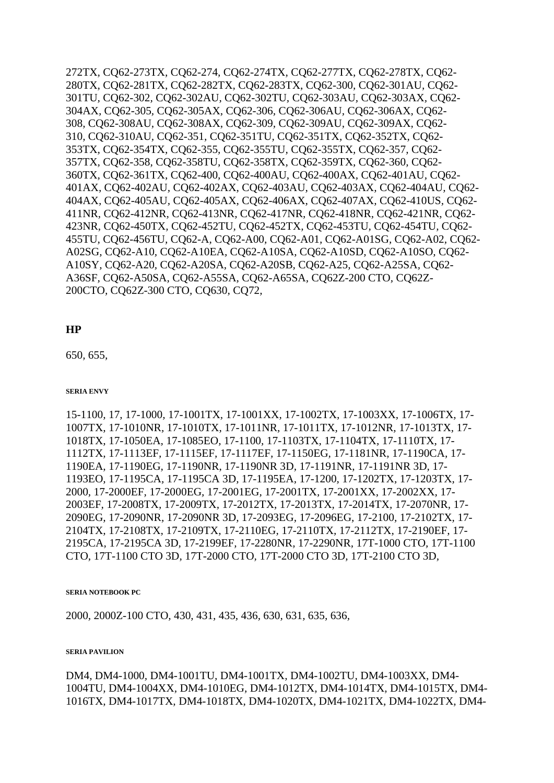272TX*,* CQ62-273TX*,* CQ62-274*,* CQ62-274TX*,* CQ62-277TX*,* CQ62-278TX*,* CQ62- 280TX*,* CQ62-281TX*,* CQ62-282TX*,* CQ62-283TX*,* CQ62-300*,* CQ62-301AU*,* CQ62- 301TU*,* CQ62-302*,* CQ62-302AU*,* CQ62-302TU*,* CQ62-303AU*,* CQ62-303AX*,* CQ62- 304AX*,* CQ62-305*,* CQ62-305AX*,* CQ62-306*,* CQ62-306AU*,* CQ62-306AX*,* CQ62- 308*,* CQ62-308AU*,* CQ62-308AX*,* CQ62-309*,* CQ62-309AU*,* CQ62-309AX*,* CQ62- 310*,* CQ62-310AU*,* CQ62-351*,* CQ62-351TU*,* CQ62-351TX*,* CQ62-352TX*,* CQ62- 353TX*,* CQ62-354TX*,* CQ62-355*,* CQ62-355TU*,* CQ62-355TX*,* CQ62-357*,* CQ62- 357TX*,* CQ62-358*,* CQ62-358TU*,* CQ62-358TX*,* CQ62-359TX*,* CQ62-360*,* CQ62- 360TX*,* CQ62-361TX*,* CQ62-400*,* CQ62-400AU*,* CQ62-400AX*,* CQ62-401AU*,* CQ62- 401AX*,* CQ62-402AU*,* CQ62-402AX*,* CQ62-403AU*,* CQ62-403AX*,* CQ62-404AU*,* CQ62- 404AX*,* CQ62-405AU*,* CQ62-405AX*,* CQ62-406AX*,* CQ62-407AX*,* CQ62-410US*,* CQ62- 411NR*,* CQ62-412NR*,* CQ62-413NR*,* CQ62-417NR*,* CQ62-418NR*,* CQ62-421NR*,* CQ62- 423NR*,* CQ62-450TX*,* CQ62-452TU*,* CQ62-452TX*,* CQ62-453TU*,* CQ62-454TU*,* CQ62- 455TU*,* CQ62-456TU*,* CQ62-A*,* CQ62-A00*,* CQ62-A01*,* CQ62-A01SG*,* CQ62-A02*,* CQ62- A02SG*,* CQ62-A10*,* CQ62-A10EA*,* CQ62-A10SA*,* CQ62-A10SD*,* CQ62-A10SO*,* CQ62- A10SY*,* CQ62-A20*,* CQ62-A20SA*,* CQ62-A20SB*,* CQ62-A25*,* CQ62-A25SA*,* CQ62- A36SF*,* CQ62-A50SA*,* CQ62-A55SA*,* CQ62-A65SA*,* CQ62Z-200 CTO*,* CQ62Z-200CTO*,* CQ62Z-300 CTO*,* CQ630*,* CQ72*,*

## **HP**

650*,* 655*,*

### **SERIA ENVY**

15-1100*,* 17*,* 17-1000*,* 17-1001TX*,* 17-1001XX*,* 17-1002TX*,* 17-1003XX*,* 17-1006TX*,* 17- 1007TX*,* 17-1010NR*,* 17-1010TX*,* 17-1011NR*,* 17-1011TX*,* 17-1012NR*,* 17-1013TX*,* 17- 1018TX*,* 17-1050EA*,* 17-1085EO*,* 17-1100*,* 17-1103TX*,* 17-1104TX*,* 17-1110TX*,* 17- 1112TX*,* 17-1113EF*,* 17-1115EF*,* 17-1117EF*,* 17-1150EG*,* 17-1181NR*,* 17-1190CA*,* 17- 1190EA*,* 17-1190EG*,* 17-1190NR*,* 17-1190NR 3D*,* 17-1191NR*,* 17-1191NR 3D*,* 17- 1193EO*,* 17-1195CA*,* 17-1195CA 3D*,* 17-1195EA*,* 17-1200*,* 17-1202TX*,* 17-1203TX*,* 17- 2000*,* 17-2000EF*,* 17-2000EG*,* 17-2001EG*,* 17-2001TX*,* 17-2001XX*,* 17-2002XX*,* 17- 2003EF*,* 17-2008TX*,* 17-2009TX*,* 17-2012TX*,* 17-2013TX*,* 17-2014TX*,* 17-2070NR*,* 17- 2090EG*,* 17-2090NR*,* 17-2090NR 3D*,* 17-2093EG*,* 17-2096EG*,* 17-2100*,* 17-2102TX*,* 17- 2104TX*,* 17-2108TX*,* 17-2109TX*,* 17-2110EG*,* 17-2110TX*,* 17-2112TX*,* 17-2190EF*,* 17- 2195CA*,* 17-2195CA 3D*,* 17-2199EF*,* 17-2280NR*,* 17-2290NR*,* 17T-1000 CTO*,* 17T-1100 CTO*,* 17T-1100 CTO 3D*,* 17T-2000 CTO*,* 17T-2000 CTO 3D*,* 17T-2100 CTO 3D*,*

### **SERIA NOTEBOOK PC**

2000*,* 2000Z-100 CTO*,* 430*,* 431*,* 435*,* 436*,* 630*,* 631*,* 635*,* 636*,*

### **SERIA PAVILION**

DM4*,* DM4-1000*,* DM4-1001TU*,* DM4-1001TX*,* DM4-1002TU*,* DM4-1003XX*,* DM4- 1004TU*,* DM4-1004XX*,* DM4-1010EG*,* DM4-1012TX*,* DM4-1014TX*,* DM4-1015TX*,* DM4- 1016TX*,* DM4-1017TX*,* DM4-1018TX*,* DM4-1020TX*,* DM4-1021TX*,* DM4-1022TX*,* DM4-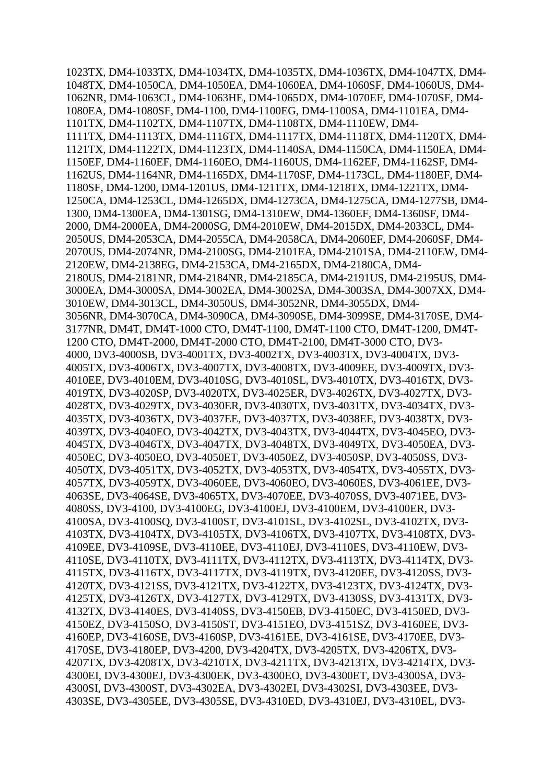1023TX*,* DM4-1033TX*,* DM4-1034TX*,* DM4-1035TX*,* DM4-1036TX*,* DM4-1047TX*,* DM4- 1048TX*,* DM4-1050CA*,* DM4-1050EA*,* DM4-1060EA*,* DM4-1060SF*,* DM4-1060US*,* DM4- 1062NR*,* DM4-1063CL*,* DM4-1063HE*,* DM4-1065DX*,* DM4-1070EF*,* DM4-1070SF*,* DM4- 1080EA*,* DM4-1080SF*,* DM4-1100*,* DM4-1100EG*,* DM4-1100SA*,* DM4-1101EA*,* DM4- 1101TX*,* DM4-1102TX*,* DM4-1107TX*,* DM4-1108TX*,* DM4-1110EW*,* DM4- 1111TX*,* DM4-1113TX*,* DM4-1116TX*,* DM4-1117TX*,* DM4-1118TX*,* DM4-1120TX*,* DM4- 1121TX*,* DM4-1122TX*,* DM4-1123TX*,* DM4-1140SA*,* DM4-1150CA*,* DM4-1150EA*,* DM4- 1150EF*,* DM4-1160EF*,* DM4-1160EO*,* DM4-1160US*,* DM4-1162EF*,* DM4-1162SF*,* DM4- 1162US*,* DM4-1164NR*,* DM4-1165DX*,* DM4-1170SF*,* DM4-1173CL*,* DM4-1180EF*,* DM4- 1180SF*,* DM4-1200*,* DM4-1201US*,* DM4-1211TX*,* DM4-1218TX*,* DM4-1221TX*,* DM4- 1250CA*,* DM4-1253CL*,* DM4-1265DX*,* DM4-1273CA*,* DM4-1275CA*,* DM4-1277SB*,* DM4- 1300*,* DM4-1300EA*,* DM4-1301SG*,* DM4-1310EW*,* DM4-1360EF*,* DM4-1360SF*,* DM4- 2000*,* DM4-2000EA*,* DM4-2000SG*,* DM4-2010EW*,* DM4-2015DX*,* DM4-2033CL*,* DM4- 2050US*,* DM4-2053CA*,* DM4-2055CA*,* DM4-2058CA*,* DM4-2060EF*,* DM4-2060SF*,* DM4- 2070US*,* DM4-2074NR*,* DM4-2100SG*,* DM4-2101EA*,* DM4-2101SA*,* DM4-2110EW*,* DM4- 2120EW*,* DM4-2138EG*,* DM4-2153CA*,* DM4-2165DX*,* DM4-2180CA*,* DM4- 2180US*,* DM4-2181NR*,* DM4-2184NR*,* DM4-2185CA*,* DM4-2191US*,* DM4-2195US*,* DM4- 3000EA*,* DM4-3000SA*,* DM4-3002EA*,* DM4-3002SA*,* DM4-3003SA*,* DM4-3007XX*,* DM4- 3010EW*,* DM4-3013CL*,* DM4-3050US*,* DM4-3052NR*,* DM4-3055DX*,* DM4- 3056NR*,* DM4-3070CA*,* DM4-3090CA*,* DM4-3090SE*,* DM4-3099SE*,* DM4-3170SE*,* DM4- 3177NR*,* DM4T*,* DM4T-1000 CTO*,* DM4T-1100*,* DM4T-1100 CTO*,* DM4T-1200*,* DM4T-1200 CTO*,* DM4T-2000*,* DM4T-2000 CTO*,* DM4T-2100*,* DM4T-3000 CTO*,* DV3- 4000*,* DV3-4000SB*,* DV3-4001TX*,* DV3-4002TX*,* DV3-4003TX*,* DV3-4004TX*,* DV3- 4005TX*,* DV3-4006TX*,* DV3-4007TX*,* DV3-4008TX*,* DV3-4009EE*,* DV3-4009TX*,* DV3- 4010EE*,* DV3-4010EM*,* DV3-4010SG*,* DV3-4010SL*,* DV3-4010TX*,* DV3-4016TX*,* DV3- 4019TX*,* DV3-4020SP*,* DV3-4020TX*,* DV3-4025ER*,* DV3-4026TX*,* DV3-4027TX*,* DV3- 4028TX*,* DV3-4029TX*,* DV3-4030ER*,* DV3-4030TX*,* DV3-4031TX*,* DV3-4034TX*,* DV3- 4035TX*,* DV3-4036TX*,* DV3-4037EE*,* DV3-4037TX*,* DV3-4038EE*,* DV3-4038TX*,* DV3- 4039TX*,* DV3-4040EO*,* DV3-4042TX*,* DV3-4043TX*,* DV3-4044TX*,* DV3-4045EO*,* DV3- 4045TX*,* DV3-4046TX*,* DV3-4047TX*,* DV3-4048TX*,* DV3-4049TX*,* DV3-4050EA*,* DV3- 4050EC*,* DV3-4050EO*,* DV3-4050ET*,* DV3-4050EZ*,* DV3-4050SP*,* DV3-4050SS*,* DV3- 4050TX*,* DV3-4051TX*,* DV3-4052TX*,* DV3-4053TX*,* DV3-4054TX*,* DV3-4055TX*,* DV3- 4057TX*,* DV3-4059TX*,* DV3-4060EE*,* DV3-4060EO*,* DV3-4060ES*,* DV3-4061EE*,* DV3- 4063SE*,* DV3-4064SE*,* DV3-4065TX*,* DV3-4070EE*,* DV3-4070SS*,* DV3-4071EE*,* DV3- 4080SS*,* DV3-4100*,* DV3-4100EG*,* DV3-4100EJ*,* DV3-4100EM*,* DV3-4100ER*,* DV3- 4100SA*,* DV3-4100SQ*,* DV3-4100ST*,* DV3-4101SL*,* DV3-4102SL*,* DV3-4102TX*,* DV3- 4103TX*,* DV3-4104TX*,* DV3-4105TX*,* DV3-4106TX*,* DV3-4107TX*,* DV3-4108TX*,* DV3- 4109EE*,* DV3-4109SE*,* DV3-4110EE*,* DV3-4110EJ*,* DV3-4110ES*,* DV3-4110EW*,* DV3- 4110SE*,* DV3-4110TX*,* DV3-4111TX*,* DV3-4112TX*,* DV3-4113TX*,* DV3-4114TX*,* DV3- 4115TX*,* DV3-4116TX*,* DV3-4117TX*,* DV3-4119TX*,* DV3-4120EE*,* DV3-4120SS*,* DV3- 4120TX*,* DV3-4121SS*,* DV3-4121TX*,* DV3-4122TX*,* DV3-4123TX*,* DV3-4124TX*,* DV3- 4125TX*,* DV3-4126TX*,* DV3-4127TX*,* DV3-4129TX*,* DV3-4130SS*,* DV3-4131TX*,* DV3- 4132TX*,* DV3-4140ES*,* DV3-4140SS*,* DV3-4150EB*,* DV3-4150EC*,* DV3-4150ED*,* DV3- 4150EZ*,* DV3-4150SO*,* DV3-4150ST*,* DV3-4151EO*,* DV3-4151SZ*,* DV3-4160EE*,* DV3- 4160EP*,* DV3-4160SE*,* DV3-4160SP*,* DV3-4161EE*,* DV3-4161SE*,* DV3-4170EE*,* DV3- 4170SE*,* DV3-4180EP*,* DV3-4200*,* DV3-4204TX*,* DV3-4205TX*,* DV3-4206TX*,* DV3- 4207TX*,* DV3-4208TX*,* DV3-4210TX*,* DV3-4211TX*,* DV3-4213TX*,* DV3-4214TX*,* DV3- 4300EI*,* DV3-4300EJ*,* DV3-4300EK*,* DV3-4300EO*,* DV3-4300ET*,* DV3-4300SA*,* DV3- 4300SI*,* DV3-4300ST*,* DV3-4302EA*,* DV3-4302EI*,* DV3-4302SI*,* DV3-4303EE*,* DV3- 4303SE*,* DV3-4305EE*,* DV3-4305SE*,* DV3-4310ED*,* DV3-4310EJ*,* DV3-4310EL*,* DV3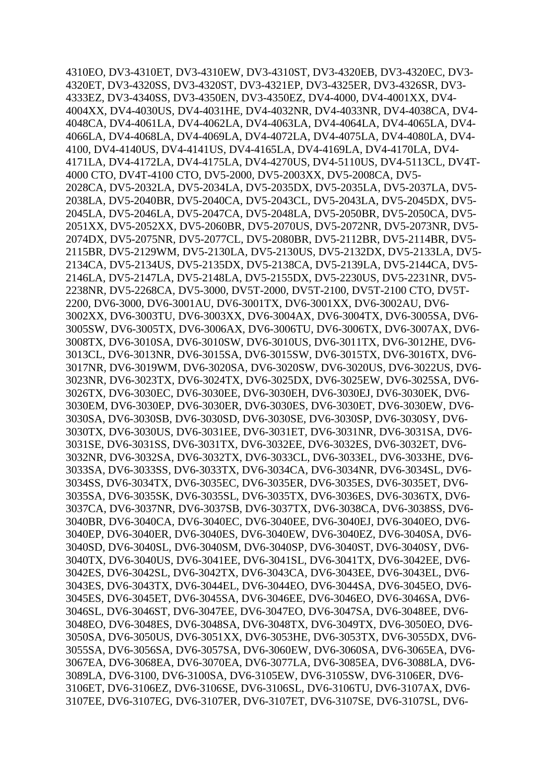4310EO*,* DV3-4310ET*,* DV3-4310EW*,* DV3-4310ST*,* DV3-4320EB*,* DV3-4320EC*,* DV3- 4320ET*,* DV3-4320SS*,* DV3-4320ST*,* DV3-4321EP*,* DV3-4325ER*,* DV3-4326SR*,* DV3- 4333EZ*,* DV3-4340SS*,* DV3-4350EN*,* DV3-4350EZ*,* DV4-4000*,* DV4-4001XX*,* DV4- 4004XX*,* DV4-4030US*,* DV4-4031HE*,* DV4-4032NR*,* DV4-4033NR*,* DV4-4038CA*,* DV4- 4048CA*,* DV4-4061LA*,* DV4-4062LA*,* DV4-4063LA*,* DV4-4064LA*,* DV4-4065LA*,* DV4- 4066LA*,* DV4-4068LA*,* DV4-4069LA*,* DV4-4072LA*,* DV4-4075LA*,* DV4-4080LA*,* DV4- 4100*,* DV4-4140US*,* DV4-4141US*,* DV4-4165LA*,* DV4-4169LA*,* DV4-4170LA*,* DV4- 4171LA*,* DV4-4172LA*,* DV4-4175LA*,* DV4-4270US*,* DV4-5110US*,* DV4-5113CL*,* DV4T-4000 CTO*,* DV4T-4100 CTO*,* DV5-2000*,* DV5-2003XX*,* DV5-2008CA*,* DV5- 2028CA*,* DV5-2032LA*,* DV5-2034LA*,* DV5-2035DX*,* DV5-2035LA*,* DV5-2037LA*,* DV5- 2038LA*,* DV5-2040BR*,* DV5-2040CA*,* DV5-2043CL*,* DV5-2043LA*,* DV5-2045DX*,* DV5- 2045LA*,* DV5-2046LA*,* DV5-2047CA*,* DV5-2048LA*,* DV5-2050BR*,* DV5-2050CA*,* DV5- 2051XX*,* DV5-2052XX*,* DV5-2060BR*,* DV5-2070US*,* DV5-2072NR*,* DV5-2073NR*,* DV5- 2074DX*,* DV5-2075NR*,* DV5-2077CL*,* DV5-2080BR*,* DV5-2112BR*,* DV5-2114BR*,* DV5- 2115BR*,* DV5-2129WM*,* DV5-2130LA*,* DV5-2130US*,* DV5-2132DX*,* DV5-2133LA*,* DV5- 2134CA*,* DV5-2134US*,* DV5-2135DX*,* DV5-2138CA*,* DV5-2139LA*,* DV5-2144CA*,* DV5- 2146LA*,* DV5-2147LA*,* DV5-2148LA*,* DV5-2155DX*,* DV5-2230US*,* DV5-2231NR*,* DV5- 2238NR*,* DV5-2268CA*,* DV5-3000*,* DV5T-2000*,* DV5T-2100*,* DV5T-2100 CTO*,* DV5T-2200*,* DV6-3000*,* DV6-3001AU*,* DV6-3001TX*,* DV6-3001XX*,* DV6-3002AU*,* DV6- 3002XX*,* DV6-3003TU*,* DV6-3003XX*,* DV6-3004AX*,* DV6-3004TX*,* DV6-3005SA*,* DV6- 3005SW*,* DV6-3005TX*,* DV6-3006AX*,* DV6-3006TU*,* DV6-3006TX*,* DV6-3007AX*,* DV6- 3008TX*,* DV6-3010SA*,* DV6-3010SW*,* DV6-3010US*,* DV6-3011TX*,* DV6-3012HE*,* DV6- 3013CL*,* DV6-3013NR*,* DV6-3015SA*,* DV6-3015SW*,* DV6-3015TX*,* DV6-3016TX*,* DV6- 3017NR*,* DV6-3019WM*,* DV6-3020SA*,* DV6-3020SW*,* DV6-3020US*,* DV6-3022US*,* DV6- 3023NR*,* DV6-3023TX*,* DV6-3024TX*,* DV6-3025DX*,* DV6-3025EW*,* DV6-3025SA*,* DV6- 3026TX*,* DV6-3030EC*,* DV6-3030EE*,* DV6-3030EH*,* DV6-3030EJ*,* DV6-3030EK*,* DV6- 3030EM*,* DV6-3030EP*,* DV6-3030ER*,* DV6-3030ES*,* DV6-3030ET*,* DV6-3030EW*,* DV6- 3030SA*,* DV6-3030SB*,* DV6-3030SD*,* DV6-3030SE*,* DV6-3030SP*,* DV6-3030SY*,* DV6- 3030TX*,* DV6-3030US*,* DV6-3031EE*,* DV6-3031ET*,* DV6-3031NR*,* DV6-3031SA*,* DV6- 3031SE*,* DV6-3031SS*,* DV6-3031TX*,* DV6-3032EE*,* DV6-3032ES*,* DV6-3032ET*,* DV6- 3032NR*,* DV6-3032SA*,* DV6-3032TX*,* DV6-3033CL*,* DV6-3033EL*,* DV6-3033HE*,* DV6- 3033SA*,* DV6-3033SS*,* DV6-3033TX*,* DV6-3034CA*,* DV6-3034NR*,* DV6-3034SL*,* DV6- 3034SS*,* DV6-3034TX*,* DV6-3035EC*,* DV6-3035ER*,* DV6-3035ES*,* DV6-3035ET*,* DV6- 3035SA*,* DV6-3035SK*,* DV6-3035SL*,* DV6-3035TX*,* DV6-3036ES*,* DV6-3036TX*,* DV6- 3037CA*,* DV6-3037NR*,* DV6-3037SB*,* DV6-3037TX*,* DV6-3038CA*,* DV6-3038SS*,* DV6- 3040BR*,* DV6-3040CA*,* DV6-3040EC*,* DV6-3040EE*,* DV6-3040EJ*,* DV6-3040EO*,* DV6- 3040EP*,* DV6-3040ER*,* DV6-3040ES*,* DV6-3040EW*,* DV6-3040EZ*,* DV6-3040SA*,* DV6- 3040SD*,* DV6-3040SL*,* DV6-3040SM*,* DV6-3040SP*,* DV6-3040ST*,* DV6-3040SY*,* DV6- 3040TX*,* DV6-3040US*,* DV6-3041EE*,* DV6-3041SL*,* DV6-3041TX*,* DV6-3042EE*,* DV6- 3042ES*,* DV6-3042SL*,* DV6-3042TX*,* DV6-3043CA*,* DV6-3043EE*,* DV6-3043EL*,* DV6- 3043ES*,* DV6-3043TX*,* DV6-3044EL*,* DV6-3044EO*,* DV6-3044SA*,* DV6-3045EO*,* DV6- 3045ES*,* DV6-3045ET*,* DV6-3045SA*,* DV6-3046EE*,* DV6-3046EO*,* DV6-3046SA*,* DV6- 3046SL*,* DV6-3046ST*,* DV6-3047EE*,* DV6-3047EO*,* DV6-3047SA*,* DV6-3048EE*,* DV6- 3048EO*,* DV6-3048ES*,* DV6-3048SA*,* DV6-3048TX*,* DV6-3049TX*,* DV6-3050EO*,* DV6- 3050SA*,* DV6-3050US*,* DV6-3051XX*,* DV6-3053HE*,* DV6-3053TX*,* DV6-3055DX*,* DV6- 3055SA*,* DV6-3056SA*,* DV6-3057SA*,* DV6-3060EW*,* DV6-3060SA*,* DV6-3065EA*,* DV6- 3067EA*,* DV6-3068EA*,* DV6-3070EA*,* DV6-3077LA*,* DV6-3085EA*,* DV6-3088LA*,* DV6- 3089LA*,* DV6-3100*,* DV6-3100SA*,* DV6-3105EW*,* DV6-3105SW*,* DV6-3106ER*,* DV6- 3106ET*,* DV6-3106EZ*,* DV6-3106SE*,* DV6-3106SL*,* DV6-3106TU*,* DV6-3107AX*,* DV6- 3107EE*,* DV6-3107EG*,* DV6-3107ER*,* DV6-3107ET*,* DV6-3107SE*,* DV6-3107SL*,* DV6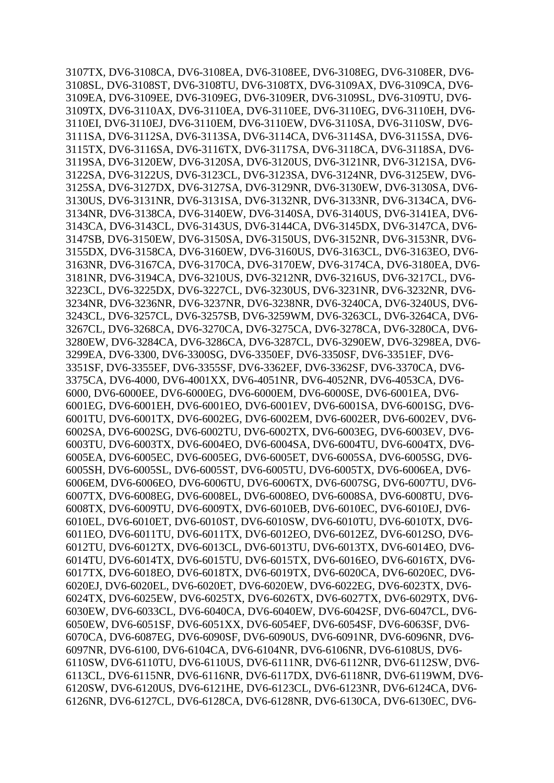3107TX*,* DV6-3108CA*,* DV6-3108EA*,* DV6-3108EE*,* DV6-3108EG*,* DV6-3108ER*,* DV6- 3108SL*,* DV6-3108ST*,* DV6-3108TU*,* DV6-3108TX*,* DV6-3109AX*,* DV6-3109CA*,* DV6- 3109EA*,* DV6-3109EE*,* DV6-3109EG*,* DV6-3109ER*,* DV6-3109SL*,* DV6-3109TU*,* DV6- 3109TX*,* DV6-3110AX*,* DV6-3110EA*,* DV6-3110EE*,* DV6-3110EG*,* DV6-3110EH*,* DV6- 3110EI*,* DV6-3110EJ*,* DV6-3110EM*,* DV6-3110EW*,* DV6-3110SA*,* DV6-3110SW*,* DV6- 3111SA*,* DV6-3112SA*,* DV6-3113SA*,* DV6-3114CA*,* DV6-3114SA*,* DV6-3115SA*,* DV6- 3115TX*,* DV6-3116SA*,* DV6-3116TX*,* DV6-3117SA*,* DV6-3118CA*,* DV6-3118SA*,* DV6- 3119SA*,* DV6-3120EW*,* DV6-3120SA*,* DV6-3120US*,* DV6-3121NR*,* DV6-3121SA*,* DV6- 3122SA*,* DV6-3122US*,* DV6-3123CL*,* DV6-3123SA*,* DV6-3124NR*,* DV6-3125EW*,* DV6- 3125SA*,* DV6-3127DX*,* DV6-3127SA*,* DV6-3129NR*,* DV6-3130EW*,* DV6-3130SA*,* DV6- 3130US*,* DV6-3131NR*,* DV6-3131SA*,* DV6-3132NR*,* DV6-3133NR*,* DV6-3134CA*,* DV6- 3134NR*,* DV6-3138CA*,* DV6-3140EW*,* DV6-3140SA*,* DV6-3140US*,* DV6-3141EA*,* DV6- 3143CA*,* DV6-3143CL*,* DV6-3143US*,* DV6-3144CA*,* DV6-3145DX*,* DV6-3147CA*,* DV6- 3147SB*,* DV6-3150EW*,* DV6-3150SA*,* DV6-3150US*,* DV6-3152NR*,* DV6-3153NR*,* DV6- 3155DX*,* DV6-3158CA*,* DV6-3160EW*,* DV6-3160US*,* DV6-3163CL*,* DV6-3163EO*,* DV6- 3163NR*,* DV6-3167CA*,* DV6-3170CA*,* DV6-3170EW*,* DV6-3174CA*,* DV6-3180EA*,* DV6- 3181NR*,* DV6-3194CA*,* DV6-3210US*,* DV6-3212NR*,* DV6-3216US*,* DV6-3217CL*,* DV6- 3223CL*,* DV6-3225DX*,* DV6-3227CL*,* DV6-3230US*,* DV6-3231NR*,* DV6-3232NR*,* DV6- 3234NR*,* DV6-3236NR*,* DV6-3237NR*,* DV6-3238NR*,* DV6-3240CA*,* DV6-3240US*,* DV6- 3243CL*,* DV6-3257CL*,* DV6-3257SB*,* DV6-3259WM*,* DV6-3263CL*,* DV6-3264CA*,* DV6- 3267CL*,* DV6-3268CA*,* DV6-3270CA*,* DV6-3275CA*,* DV6-3278CA*,* DV6-3280CA*,* DV6- 3280EW*,* DV6-3284CA*,* DV6-3286CA*,* DV6-3287CL*,* DV6-3290EW*,* DV6-3298EA*,* DV6- 3299EA*,* DV6-3300*,* DV6-3300SG*,* DV6-3350EF*,* DV6-3350SF*,* DV6-3351EF*,* DV6- 3351SF*,* DV6-3355EF*,* DV6-3355SF*,* DV6-3362EF*,* DV6-3362SF*,* DV6-3370CA*,* DV6- 3375CA*,* DV6-4000*,* DV6-4001XX*,* DV6-4051NR*,* DV6-4052NR*,* DV6-4053CA*,* DV6- 6000*,* DV6-6000EE*,* DV6-6000EG*,* DV6-6000EM*,* DV6-6000SE*,* DV6-6001EA*,* DV6- 6001EG*,* DV6-6001EH*,* DV6-6001EO*,* DV6-6001EV*,* DV6-6001SA*,* DV6-6001SG*,* DV6- 6001TU*,* DV6-6001TX*,* DV6-6002EG*,* DV6-6002EM*,* DV6-6002ER*,* DV6-6002EV*,* DV6- 6002SA*,* DV6-6002SG*,* DV6-6002TU*,* DV6-6002TX*,* DV6-6003EG*,* DV6-6003EV*,* DV6- 6003TU*,* DV6-6003TX*,* DV6-6004EO*,* DV6-6004SA*,* DV6-6004TU*,* DV6-6004TX*,* DV6- 6005EA*,* DV6-6005EC*,* DV6-6005EG*,* DV6-6005ET*,* DV6-6005SA*,* DV6-6005SG*,* DV6- 6005SH*,* DV6-6005SL*,* DV6-6005ST*,* DV6-6005TU*,* DV6-6005TX*,* DV6-6006EA*,* DV6- 6006EM*,* DV6-6006EO*,* DV6-6006TU*,* DV6-6006TX*,* DV6-6007SG*,* DV6-6007TU*,* DV6- 6007TX*,* DV6-6008EG*,* DV6-6008EL*,* DV6-6008EO*,* DV6-6008SA*,* DV6-6008TU*,* DV6- 6008TX*,* DV6-6009TU*,* DV6-6009TX*,* DV6-6010EB*,* DV6-6010EC*,* DV6-6010EJ*,* DV6- 6010EL*,* DV6-6010ET*,* DV6-6010ST*,* DV6-6010SW*,* DV6-6010TU*,* DV6-6010TX*,* DV6- 6011EO*,* DV6-6011TU*,* DV6-6011TX*,* DV6-6012EO*,* DV6-6012EZ*,* DV6-6012SO*,* DV6- 6012TU*,* DV6-6012TX*,* DV6-6013CL*,* DV6-6013TU*,* DV6-6013TX*,* DV6-6014EO*,* DV6- 6014TU*,* DV6-6014TX*,* DV6-6015TU*,* DV6-6015TX*,* DV6-6016EO*,* DV6-6016TX*,* DV6- 6017TX*,* DV6-6018EO*,* DV6-6018TX*,* DV6-6019TX*,* DV6-6020CA*,* DV6-6020EC*,* DV6- 6020EJ*,* DV6-6020EL*,* DV6-6020ET*,* DV6-6020EW*,* DV6-6022EG*,* DV6-6023TX*,* DV6- 6024TX*,* DV6-6025EW*,* DV6-6025TX*,* DV6-6026TX*,* DV6-6027TX*,* DV6-6029TX*,* DV6- 6030EW*,* DV6-6033CL*,* DV6-6040CA*,* DV6-6040EW*,* DV6-6042SF*,* DV6-6047CL*,* DV6- 6050EW*,* DV6-6051SF*,* DV6-6051XX*,* DV6-6054EF*,* DV6-6054SF*,* DV6-6063SF*,* DV6- 6070CA*,* DV6-6087EG*,* DV6-6090SF*,* DV6-6090US*,* DV6-6091NR*,* DV6-6096NR*,* DV6- 6097NR*,* DV6-6100*,* DV6-6104CA*,* DV6-6104NR*,* DV6-6106NR*,* DV6-6108US*,* DV6- 6110SW*,* DV6-6110TU*,* DV6-6110US*,* DV6-6111NR*,* DV6-6112NR*,* DV6-6112SW*,* DV6- 6113CL*,* DV6-6115NR*,* DV6-6116NR*,* DV6-6117DX*,* DV6-6118NR*,* DV6-6119WM*,* DV6- 6120SW*,* DV6-6120US*,* DV6-6121HE*,* DV6-6123CL*,* DV6-6123NR*,* DV6-6124CA*,* DV6- 6126NR*,* DV6-6127CL*,* DV6-6128CA*,* DV6-6128NR*,* DV6-6130CA*,* DV6-6130EC*,* DV6-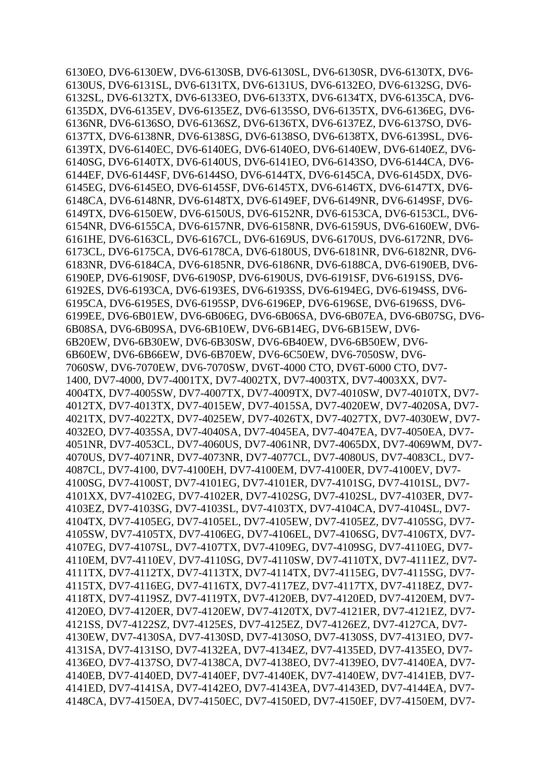6130EO*,* DV6-6130EW*,* DV6-6130SB*,* DV6-6130SL*,* DV6-6130SR*,* DV6-6130TX*,* DV6- 6130US*,* DV6-6131SL*,* DV6-6131TX*,* DV6-6131US*,* DV6-6132EO*,* DV6-6132SG*,* DV6- 6132SL*,* DV6-6132TX*,* DV6-6133EO*,* DV6-6133TX*,* DV6-6134TX*,* DV6-6135CA*,* DV6- 6135DX*,* DV6-6135EV*,* DV6-6135EZ*,* DV6-6135SO*,* DV6-6135TX*,* DV6-6136EG*,* DV6- 6136NR*,* DV6-6136SO*,* DV6-6136SZ*,* DV6-6136TX*,* DV6-6137EZ*,* DV6-6137SO*,* DV6- 6137TX*,* DV6-6138NR*,* DV6-6138SG*,* DV6-6138SO*,* DV6-6138TX*,* DV6-6139SL*,* DV6- 6139TX*,* DV6-6140EC*,* DV6-6140EG*,* DV6-6140EO*,* DV6-6140EW*,* DV6-6140EZ*,* DV6- 6140SG*,* DV6-6140TX*,* DV6-6140US*,* DV6-6141EO*,* DV6-6143SO*,* DV6-6144CA*,* DV6- 6144EF*,* DV6-6144SF*,* DV6-6144SO*,* DV6-6144TX*,* DV6-6145CA*,* DV6-6145DX*,* DV6- 6145EG*,* DV6-6145EO*,* DV6-6145SF*,* DV6-6145TX*,* DV6-6146TX*,* DV6-6147TX*,* DV6- 6148CA*,* DV6-6148NR*,* DV6-6148TX*,* DV6-6149EF*,* DV6-6149NR*,* DV6-6149SF*,* DV6- 6149TX*,* DV6-6150EW*,* DV6-6150US*,* DV6-6152NR*,* DV6-6153CA*,* DV6-6153CL*,* DV6- 6154NR*,* DV6-6155CA*,* DV6-6157NR*,* DV6-6158NR*,* DV6-6159US*,* DV6-6160EW*,* DV6- 6161HE*,* DV6-6163CL*,* DV6-6167CL*,* DV6-6169US*,* DV6-6170US*,* DV6-6172NR*,* DV6- 6173CL*,* DV6-6175CA*,* DV6-6178CA*,* DV6-6180US*,* DV6-6181NR*,* DV6-6182NR*,* DV6- 6183NR*,* DV6-6184CA*,* DV6-6185NR*,* DV6-6186NR*,* DV6-6188CA*,* DV6-6190EB*,* DV6- 6190EP*,* DV6-6190SF*,* DV6-6190SP*,* DV6-6190US*,* DV6-6191SF*,* DV6-6191SS*,* DV6- 6192ES*,* DV6-6193CA*,* DV6-6193ES*,* DV6-6193SS*,* DV6-6194EG*,* DV6-6194SS*,* DV6- 6195CA*,* DV6-6195ES*,* DV6-6195SP*,* DV6-6196EP*,* DV6-6196SE*,* DV6-6196SS*,* DV6- 6199EE*,* DV6-6B01EW*,* DV6-6B06EG*,* DV6-6B06SA*,* DV6-6B07EA*,* DV6-6B07SG*,* DV6- 6B08SA*,* DV6-6B09SA*,* DV6-6B10EW*,* DV6-6B14EG*,* DV6-6B15EW*,* DV6- 6B20EW*,* DV6-6B30EW*,* DV6-6B30SW*,* DV6-6B40EW*,* DV6-6B50EW*,* DV6- 6B60EW*,* DV6-6B66EW*,* DV6-6B70EW*,* DV6-6C50EW*,* DV6-7050SW*,* DV6- 7060SW*,* DV6-7070EW*,* DV6-7070SW*,* DV6T-4000 CTO*,* DV6T-6000 CTO*,* DV7- 1400*,* DV7-4000*,* DV7-4001TX*,* DV7-4002TX*,* DV7-4003TX*,* DV7-4003XX*,* DV7- 4004TX*,* DV7-4005SW*,* DV7-4007TX*,* DV7-4009TX*,* DV7-4010SW*,* DV7-4010TX*,* DV7- 4012TX*,* DV7-4013TX*,* DV7-4015EW*,* DV7-4015SA*,* DV7-4020EW*,* DV7-4020SA*,* DV7- 4021TX*,* DV7-4022TX*,* DV7-4025EW*,* DV7-4026TX*,* DV7-4027TX*,* DV7-4030EW*,* DV7- 4032EO*,* DV7-4035SA*,* DV7-4040SA*,* DV7-4045EA*,* DV7-4047EA*,* DV7-4050EA*,* DV7- 4051NR*,* DV7-4053CL*,* DV7-4060US*,* DV7-4061NR*,* DV7-4065DX*,* DV7-4069WM*,* DV7- 4070US*,* DV7-4071NR*,* DV7-4073NR*,* DV7-4077CL*,* DV7-4080US*,* DV7-4083CL*,* DV7- 4087CL*,* DV7-4100*,* DV7-4100EH*,* DV7-4100EM*,* DV7-4100ER*,* DV7-4100EV*,* DV7- 4100SG*,* DV7-4100ST*,* DV7-4101EG*,* DV7-4101ER*,* DV7-4101SG*,* DV7-4101SL*,* DV7- 4101XX*,* DV7-4102EG*,* DV7-4102ER*,* DV7-4102SG*,* DV7-4102SL*,* DV7-4103ER*,* DV7- 4103EZ*,* DV7-4103SG*,* DV7-4103SL*,* DV7-4103TX*,* DV7-4104CA*,* DV7-4104SL*,* DV7- 4104TX*,* DV7-4105EG*,* DV7-4105EL*,* DV7-4105EW*,* DV7-4105EZ*,* DV7-4105SG*,* DV7- 4105SW*,* DV7-4105TX*,* DV7-4106EG*,* DV7-4106EL*,* DV7-4106SG*,* DV7-4106TX*,* DV7- 4107EG*,* DV7-4107SL*,* DV7-4107TX*,* DV7-4109EG*,* DV7-4109SG*,* DV7-4110EG*,* DV7- 4110EM*,* DV7-4110EV*,* DV7-4110SG*,* DV7-4110SW*,* DV7-4110TX*,* DV7-4111EZ*,* DV7- 4111TX*,* DV7-4112TX*,* DV7-4113TX*,* DV7-4114TX*,* DV7-4115EG*,* DV7-4115SG*,* DV7- 4115TX*,* DV7-4116EG*,* DV7-4116TX*,* DV7-4117EZ*,* DV7-4117TX*,* DV7-4118EZ*,* DV7- 4118TX*,* DV7-4119SZ*,* DV7-4119TX*,* DV7-4120EB*,* DV7-4120ED*,* DV7-4120EM*,* DV7- 4120EO*,* DV7-4120ER*,* DV7-4120EW*,* DV7-4120TX*,* DV7-4121ER*,* DV7-4121EZ*,* DV7- 4121SS*,* DV7-4122SZ*,* DV7-4125ES*,* DV7-4125EZ*,* DV7-4126EZ*,* DV7-4127CA*,* DV7- 4130EW*,* DV7-4130SA*,* DV7-4130SD*,* DV7-4130SO*,* DV7-4130SS*,* DV7-4131EO*,* DV7- 4131SA*,* DV7-4131SO*,* DV7-4132EA*,* DV7-4134EZ*,* DV7-4135ED*,* DV7-4135EO*,* DV7- 4136EO*,* DV7-4137SO*,* DV7-4138CA*,* DV7-4138EO*,* DV7-4139EO*,* DV7-4140EA*,* DV7- 4140EB*,* DV7-4140ED*,* DV7-4140EF*,* DV7-4140EK*,* DV7-4140EW*,* DV7-4141EB*,* DV7- 4141ED*,* DV7-4141SA*,* DV7-4142EO*,* DV7-4143EA*,* DV7-4143ED*,* DV7-4144EA*,* DV7- 4148CA*,* DV7-4150EA*,* DV7-4150EC*,* DV7-4150ED*,* DV7-4150EF*,* DV7-4150EM*,* DV7-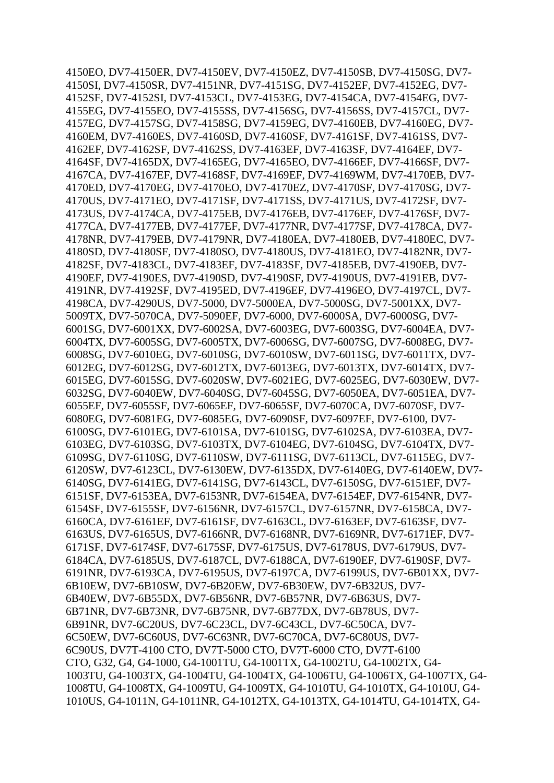4150EO*,* DV7-4150ER*,* DV7-4150EV*,* DV7-4150EZ*,* DV7-4150SB*,* DV7-4150SG*,* DV7- 4150SI*,* DV7-4150SR*,* DV7-4151NR*,* DV7-4151SG*,* DV7-4152EF*,* DV7-4152EG*,* DV7- 4152SF*,* DV7-4152SI*,* DV7-4153CL*,* DV7-4153EG*,* DV7-4154CA*,* DV7-4154EG*,* DV7- 4155EG*,* DV7-4155EO*,* DV7-4155SS*,* DV7-4156SG*,* DV7-4156SS*,* DV7-4157CL*,* DV7- 4157EG*,* DV7-4157SG*,* DV7-4158SG*,* DV7-4159EG*,* DV7-4160EB*,* DV7-4160EG*,* DV7- 4160EM*,* DV7-4160ES*,* DV7-4160SD*,* DV7-4160SF*,* DV7-4161SF*,* DV7-4161SS*,* DV7- 4162EF*,* DV7-4162SF*,* DV7-4162SS*,* DV7-4163EF*,* DV7-4163SF*,* DV7-4164EF*,* DV7- 4164SF*,* DV7-4165DX*,* DV7-4165EG*,* DV7-4165EO*,* DV7-4166EF*,* DV7-4166SF*,* DV7- 4167CA*,* DV7-4167EF*,* DV7-4168SF*,* DV7-4169EF*,* DV7-4169WM*,* DV7-4170EB*,* DV7- 4170ED*,* DV7-4170EG*,* DV7-4170EO*,* DV7-4170EZ*,* DV7-4170SF*,* DV7-4170SG*,* DV7- 4170US*,* DV7-4171EO*,* DV7-4171SF*,* DV7-4171SS*,* DV7-4171US*,* DV7-4172SF*,* DV7- 4173US*,* DV7-4174CA*,* DV7-4175EB*,* DV7-4176EB*,* DV7-4176EF*,* DV7-4176SF*,* DV7- 4177CA*,* DV7-4177EB*,* DV7-4177EF*,* DV7-4177NR*,* DV7-4177SF*,* DV7-4178CA*,* DV7- 4178NR*,* DV7-4179EB*,* DV7-4179NR*,* DV7-4180EA*,* DV7-4180EB*,* DV7-4180EC*,* DV7- 4180SD*,* DV7-4180SF*,* DV7-4180SO*,* DV7-4180US*,* DV7-4181EO*,* DV7-4182NR*,* DV7- 4182SF*,* DV7-4183CL*,* DV7-4183EF*,* DV7-4183SF*,* DV7-4185EB*,* DV7-4190EB*,* DV7- 4190EF*,* DV7-4190ES*,* DV7-4190SD*,* DV7-4190SF*,* DV7-4190US*,* DV7-4191EB*,* DV7- 4191NR*,* DV7-4192SF*,* DV7-4195ED*,* DV7-4196EF*,* DV7-4196EO*,* DV7-4197CL*,* DV7- 4198CA*,* DV7-4290US*,* DV7-5000*,* DV7-5000EA*,* DV7-5000SG*,* DV7-5001XX*,* DV7- 5009TX*,* DV7-5070CA*,* DV7-5090EF*,* DV7-6000*,* DV7-6000SA*,* DV7-6000SG*,* DV7- 6001SG*,* DV7-6001XX*,* DV7-6002SA*,* DV7-6003EG*,* DV7-6003SG*,* DV7-6004EA*,* DV7- 6004TX*,* DV7-6005SG*,* DV7-6005TX*,* DV7-6006SG*,* DV7-6007SG*,* DV7-6008EG*,* DV7- 6008SG*,* DV7-6010EG*,* DV7-6010SG*,* DV7-6010SW*,* DV7-6011SG*,* DV7-6011TX*,* DV7- 6012EG*,* DV7-6012SG*,* DV7-6012TX*,* DV7-6013EG*,* DV7-6013TX*,* DV7-6014TX*,* DV7- 6015EG*,* DV7-6015SG*,* DV7-6020SW*,* DV7-6021EG*,* DV7-6025EG*,* DV7-6030EW*,* DV7- 6032SG*,* DV7-6040EW*,* DV7-6040SG*,* DV7-6045SG*,* DV7-6050EA*,* DV7-6051EA*,* DV7- 6055EF*,* DV7-6055SF*,* DV7-6065EF*,* DV7-6065SF*,* DV7-6070CA*,* DV7-6070SF*,* DV7- 6080EG*,* DV7-6081EG*,* DV7-6085EG*,* DV7-6090SF*,* DV7-6097EF*,* DV7-6100*,* DV7- 6100SG*,* DV7-6101EG*,* DV7-6101SA*,* DV7-6101SG*,* DV7-6102SA*,* DV7-6103EA*,* DV7- 6103EG*,* DV7-6103SG*,* DV7-6103TX*,* DV7-6104EG*,* DV7-6104SG*,* DV7-6104TX*,* DV7- 6109SG*,* DV7-6110SG*,* DV7-6110SW*,* DV7-6111SG*,* DV7-6113CL*,* DV7-6115EG*,* DV7- 6120SW*,* DV7-6123CL*,* DV7-6130EW*,* DV7-6135DX*,* DV7-6140EG*,* DV7-6140EW*,* DV7- 6140SG*,* DV7-6141EG*,* DV7-6141SG*,* DV7-6143CL*,* DV7-6150SG*,* DV7-6151EF*,* DV7- 6151SF*,* DV7-6153EA*,* DV7-6153NR*,* DV7-6154EA*,* DV7-6154EF*,* DV7-6154NR*,* DV7- 6154SF*,* DV7-6155SF*,* DV7-6156NR*,* DV7-6157CL*,* DV7-6157NR*,* DV7-6158CA*,* DV7- 6160CA*,* DV7-6161EF*,* DV7-6161SF*,* DV7-6163CL*,* DV7-6163EF*,* DV7-6163SF*,* DV7- 6163US*,* DV7-6165US*,* DV7-6166NR*,* DV7-6168NR*,* DV7-6169NR*,* DV7-6171EF*,* DV7- 6171SF*,* DV7-6174SF*,* DV7-6175SF*,* DV7-6175US*,* DV7-6178US*,* DV7-6179US*,* DV7- 6184CA*,* DV7-6185US*,* DV7-6187CL*,* DV7-6188CA*,* DV7-6190EF*,* DV7-6190SF*,* DV7- 6191NR*,* DV7-6193CA*,* DV7-6195US*,* DV7-6197CA*,* DV7-6199US*,* DV7-6B01XX*,* DV7- 6B10EW*,* DV7-6B10SW*,* DV7-6B20EW*,* DV7-6B30EW*,* DV7-6B32US*,* DV7- 6B40EW*,* DV7-6B55DX*,* DV7-6B56NR*,* DV7-6B57NR*,* DV7-6B63US*,* DV7- 6B71NR*,* DV7-6B73NR*,* DV7-6B75NR*,* DV7-6B77DX*,* DV7-6B78US*,* DV7- 6B91NR*,* DV7-6C20US*,* DV7-6C23CL*,* DV7-6C43CL*,* DV7-6C50CA*,* DV7- 6C50EW*,* DV7-6C60US*,* DV7-6C63NR*,* DV7-6C70CA*,* DV7-6C80US*,* DV7- 6C90US*,* DV7T-4100 CTO*,* DV7T-5000 CTO*,* DV7T-6000 CTO*,* DV7T-6100 CTO*,* G32*,* G4*,* G4-1000*,* G4-1001TU*,* G4-1001TX*,* G4-1002TU*,* G4-1002TX*,* G4- 1003TU*,* G4-1003TX*,* G4-1004TU*,* G4-1004TX*,* G4-1006TU*,* G4-1006TX*,* G4-1007TX*,* G4- 1008TU*,* G4-1008TX*,* G4-1009TU*,* G4-1009TX*,* G4-1010TU*,* G4-1010TX*,* G4-1010U*,* G4- 1010US*,* G4-1011N*,* G4-1011NR*,* G4-1012TX*,* G4-1013TX*,* G4-1014TU*,* G4-1014TX*,* G4-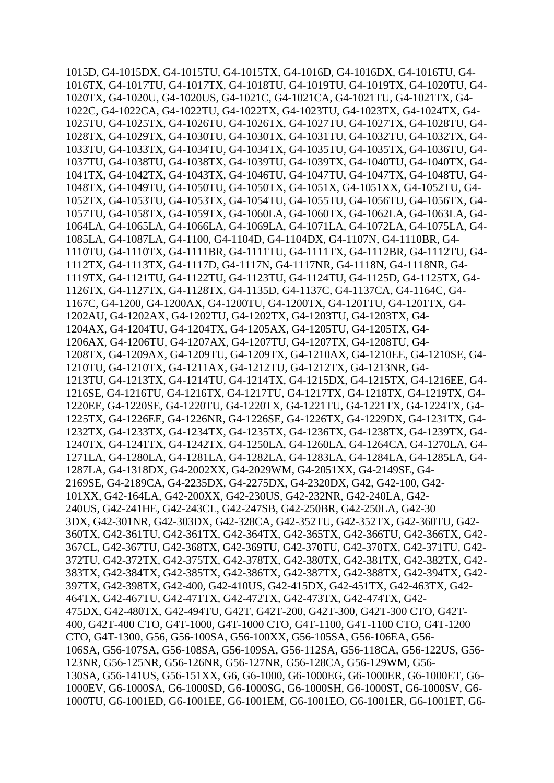1015D*,* G4-1015DX*,* G4-1015TU*,* G4-1015TX*,* G4-1016D*,* G4-1016DX*,* G4-1016TU*,* G4- 1016TX*,* G4-1017TU*,* G4-1017TX*,* G4-1018TU*,* G4-1019TU*,* G4-1019TX*,* G4-1020TU*,* G4- 1020TX*,* G4-1020U*,* G4-1020US*,* G4-1021C*,* G4-1021CA*,* G4-1021TU*,* G4-1021TX*,* G4- 1022C*,* G4-1022CA*,* G4-1022TU*,* G4-1022TX*,* G4-1023TU*,* G4-1023TX*,* G4-1024TX*,* G4- 1025TU*,* G4-1025TX*,* G4-1026TU*,* G4-1026TX*,* G4-1027TU*,* G4-1027TX*,* G4-1028TU*,* G4- 1028TX*,* G4-1029TX*,* G4-1030TU*,* G4-1030TX*,* G4-1031TU*,* G4-1032TU*,* G4-1032TX*,* G4- 1033TU*,* G4-1033TX*,* G4-1034TU*,* G4-1034TX*,* G4-1035TU*,* G4-1035TX*,* G4-1036TU*,* G4- 1037TU*,* G4-1038TU*,* G4-1038TX*,* G4-1039TU*,* G4-1039TX*,* G4-1040TU*,* G4-1040TX*,* G4- 1041TX*,* G4-1042TX*,* G4-1043TX*,* G4-1046TU*,* G4-1047TU*,* G4-1047TX*,* G4-1048TU*,* G4- 1048TX*,* G4-1049TU*,* G4-1050TU*,* G4-1050TX*,* G4-1051X*,* G4-1051XX*,* G4-1052TU*,* G4- 1052TX*,* G4-1053TU*,* G4-1053TX*,* G4-1054TU*,* G4-1055TU*,* G4-1056TU*,* G4-1056TX*,* G4- 1057TU*,* G4-1058TX*,* G4-1059TX*,* G4-1060LA*,* G4-1060TX*,* G4-1062LA*,* G4-1063LA*,* G4- 1064LA*,* G4-1065LA*,* G4-1066LA*,* G4-1069LA*,* G4-1071LA*,* G4-1072LA*,* G4-1075LA*,* G4- 1085LA*,* G4-1087LA*,* G4-1100*,* G4-1104D*,* G4-1104DX*,* G4-1107N*,* G4-1110BR*,* G4- 1110TU*,* G4-1110TX*,* G4-1111BR*,* G4-1111TU*,* G4-1111TX*,* G4-1112BR*,* G4-1112TU*,* G4- 1112TX*,* G4-1113TX*,* G4-1117D*,* G4-1117N*,* G4-1117NR*,* G4-1118N*,* G4-1118NR*,* G4- 1119TX*,* G4-1121TU*,* G4-1122TU*,* G4-1123TU*,* G4-1124TU*,* G4-1125D*,* G4-1125TX*,* G4- 1126TX*,* G4-1127TX*,* G4-1128TX*,* G4-1135D*,* G4-1137C*,* G4-1137CA*,* G4-1164C*,* G4- 1167C*,* G4-1200*,* G4-1200AX*,* G4-1200TU*,* G4-1200TX*,* G4-1201TU*,* G4-1201TX*,* G4- 1202AU*,* G4-1202AX*,* G4-1202TU*,* G4-1202TX*,* G4-1203TU*,* G4-1203TX*,* G4- 1204AX*,* G4-1204TU*,* G4-1204TX*,* G4-1205AX*,* G4-1205TU*,* G4-1205TX*,* G4- 1206AX*,* G4-1206TU*,* G4-1207AX*,* G4-1207TU*,* G4-1207TX*,* G4-1208TU*,* G4- 1208TX*,* G4-1209AX*,* G4-1209TU*,* G4-1209TX*,* G4-1210AX*,* G4-1210EE*,* G4-1210SE*,* G4- 1210TU*,* G4-1210TX*,* G4-1211AX*,* G4-1212TU*,* G4-1212TX*,* G4-1213NR*,* G4- 1213TU*,* G4-1213TX*,* G4-1214TU*,* G4-1214TX*,* G4-1215DX*,* G4-1215TX*,* G4-1216EE*,* G4- 1216SE*,* G4-1216TU*,* G4-1216TX*,* G4-1217TU*,* G4-1217TX*,* G4-1218TX*,* G4-1219TX*,* G4- 1220EE*,* G4-1220SE*,* G4-1220TU*,* G4-1220TX*,* G4-1221TU*,* G4-1221TX*,* G4-1224TX*,* G4- 1225TX*,* G4-1226EE*,* G4-1226NR*,* G4-1226SE*,* G4-1226TX*,* G4-1229DX*,* G4-1231TX*,* G4- 1232TX*,* G4-1233TX*,* G4-1234TX*,* G4-1235TX*,* G4-1236TX*,* G4-1238TX*,* G4-1239TX*,* G4- 1240TX*,* G4-1241TX*,* G4-1242TX*,* G4-1250LA*,* G4-1260LA*,* G4-1264CA*,* G4-1270LA*,* G4- 1271LA*,* G4-1280LA*,* G4-1281LA*,* G4-1282LA*,* G4-1283LA*,* G4-1284LA*,* G4-1285LA*,* G4- 1287LA*,* G4-1318DX*,* G4-2002XX*,* G4-2029WM*,* G4-2051XX*,* G4-2149SE*,* G4- 2169SE*,* G4-2189CA*,* G4-2235DX*,* G4-2275DX*,* G4-2320DX*,* G42*,* G42-100*,* G42- 101XX*,* G42-164LA*,* G42-200XX*,* G42-230US*,* G42-232NR*,* G42-240LA*,* G42- 240US*,* G42-241HE*,* G42-243CL*,* G42-247SB*,* G42-250BR*,* G42-250LA*,* G42-30 3DX*,* G42-301NR*,* G42-303DX*,* G42-328CA*,* G42-352TU*,* G42-352TX*,* G42-360TU*,* G42- 360TX*,* G42-361TU*,* G42-361TX*,* G42-364TX*,* G42-365TX*,* G42-366TU*,* G42-366TX*,* G42- 367CL*,* G42-367TU*,* G42-368TX*,* G42-369TU*,* G42-370TU*,* G42-370TX*,* G42-371TU*,* G42- 372TU*,* G42-372TX*,* G42-375TX*,* G42-378TX*,* G42-380TX*,* G42-381TX*,* G42-382TX*,* G42- 383TX*,* G42-384TX*,* G42-385TX*,* G42-386TX*,* G42-387TX*,* G42-388TX*,* G42-394TX*,* G42- 397TX*,* G42-398TX*,* G42-400*,* G42-410US*,* G42-415DX*,* G42-451TX*,* G42-463TX*,* G42- 464TX*,* G42-467TU*,* G42-471TX*,* G42-472TX*,* G42-473TX*,* G42-474TX*,* G42- 475DX*,* G42-480TX*,* G42-494TU*,* G42T*,* G42T-200*,* G42T-300*,* G42T-300 CTO*,* G42T-400*,* G42T-400 CTO*,* G4T-1000*,* G4T-1000 CTO*,* G4T-1100*,* G4T-1100 CTO*,* G4T-1200 CTO*,* G4T-1300*,* G56*,* G56-100SA*,* G56-100XX*,* G56-105SA*,* G56-106EA*,* G56- 106SA*,* G56-107SA*,* G56-108SA*,* G56-109SA*,* G56-112SA*,* G56-118CA*,* G56-122US*,* G56- 123NR*,* G56-125NR*,* G56-126NR*,* G56-127NR*,* G56-128CA*,* G56-129WM*,* G56- 130SA*,* G56-141US*,* G56-151XX*,* G6*,* G6-1000*,* G6-1000EG*,* G6-1000ER*,* G6-1000ET*,* G6- 1000EV*,* G6-1000SA*,* G6-1000SD*,* G6-1000SG*,* G6-1000SH*,* G6-1000ST*,* G6-1000SV*,* G6- 1000TU*,* G6-1001ED*,* G6-1001EE*,* G6-1001EM*,* G6-1001EO*,* G6-1001ER*,* G6-1001ET*,* G6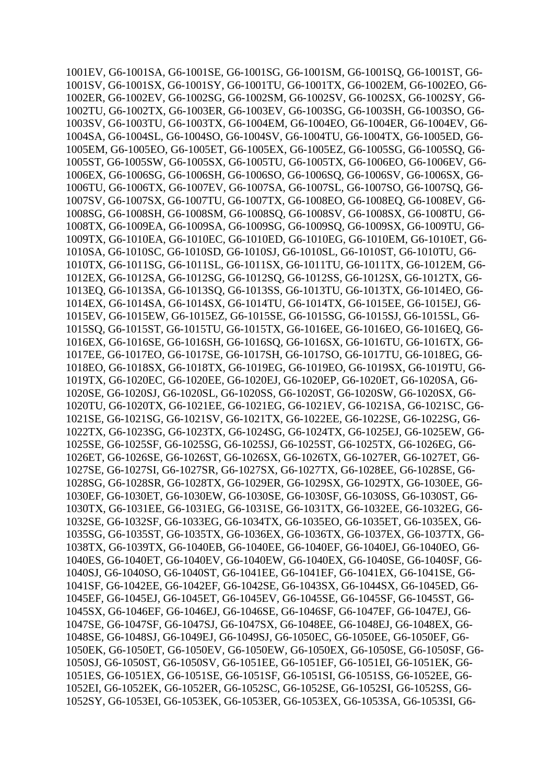1001EV*,* G6-1001SA*,* G6-1001SE*,* G6-1001SG*,* G6-1001SM*,* G6-1001SQ*,* G6-1001ST*,* G6- 1001SV*,* G6-1001SX*,* G6-1001SY*,* G6-1001TU*,* G6-1001TX*,* G6-1002EM*,* G6-1002EO*,* G6- 1002ER*,* G6-1002EV*,* G6-1002SG*,* G6-1002SM*,* G6-1002SV*,* G6-1002SX*,* G6-1002SY*,* G6- 1002TU*,* G6-1002TX*,* G6-1003ER*,* G6-1003EV*,* G6-1003SG*,* G6-1003SH*,* G6-1003SO*,* G6- 1003SV*,* G6-1003TU*,* G6-1003TX*,* G6-1004EM*,* G6-1004EO*,* G6-1004ER*,* G6-1004EV*,* G6- 1004SA*,* G6-1004SL*,* G6-1004SO*,* G6-1004SV*,* G6-1004TU*,* G6-1004TX*,* G6-1005ED*,* G6- 1005EM*,* G6-1005EO*,* G6-1005ET*,* G6-1005EX*,* G6-1005EZ*,* G6-1005SG*,* G6-1005SQ*,* G6- 1005ST*,* G6-1005SW*,* G6-1005SX*,* G6-1005TU*,* G6-1005TX*,* G6-1006EO*,* G6-1006EV*,* G6- 1006EX*,* G6-1006SG*,* G6-1006SH*,* G6-1006SO*,* G6-1006SQ*,* G6-1006SV*,* G6-1006SX*,* G6- 1006TU*,* G6-1006TX*,* G6-1007EV*,* G6-1007SA*,* G6-1007SL*,* G6-1007SO*,* G6-1007SQ*,* G6- 1007SV*,* G6-1007SX*,* G6-1007TU*,* G6-1007TX*,* G6-1008EO*,* G6-1008EQ*,* G6-1008EV*,* G6- 1008SG*,* G6-1008SH*,* G6-1008SM*,* G6-1008SQ*,* G6-1008SV*,* G6-1008SX*,* G6-1008TU*,* G6- 1008TX*,* G6-1009EA*,* G6-1009SA*,* G6-1009SG*,* G6-1009SQ*,* G6-1009SX*,* G6-1009TU*,* G6- 1009TX*,* G6-1010EA*,* G6-1010EC*,* G6-1010ED*,* G6-1010EG*,* G6-1010EM*,* G6-1010ET*,* G6- 1010SA*,* G6-1010SC*,* G6-1010SD*,* G6-1010SJ*,* G6-1010SL*,* G6-1010ST*,* G6-1010TU*,* G6- 1010TX*,* G6-1011SG*,* G6-1011SL*,* G6-1011SX*,* G6-1011TU*,* G6-1011TX*,* G6-1012EM*,* G6- 1012EX*,* G6-1012SA*,* G6-1012SG*,* G6-1012SQ*,* G6-1012SS*,* G6-1012SX*,* G6-1012TX*,* G6- 1013EQ*,* G6-1013SA*,* G6-1013SQ*,* G6-1013SS*,* G6-1013TU*,* G6-1013TX*,* G6-1014EO*,* G6- 1014EX*,* G6-1014SA*,* G6-1014SX*,* G6-1014TU*,* G6-1014TX*,* G6-1015EE*,* G6-1015EJ*,* G6- 1015EV*,* G6-1015EW*,* G6-1015EZ*,* G6-1015SE*,* G6-1015SG*,* G6-1015SJ*,* G6-1015SL*,* G6- 1015SQ*,* G6-1015ST*,* G6-1015TU*,* G6-1015TX*,* G6-1016EE*,* G6-1016EO*,* G6-1016EQ*,* G6- 1016EX*,* G6-1016SE*,* G6-1016SH*,* G6-1016SQ*,* G6-1016SX*,* G6-1016TU*,* G6-1016TX*,* G6- 1017EE*,* G6-1017EO*,* G6-1017SE*,* G6-1017SH*,* G6-1017SO*,* G6-1017TU*,* G6-1018EG*,* G6- 1018EO*,* G6-1018SX*,* G6-1018TX*,* G6-1019EG*,* G6-1019EO*,* G6-1019SX*,* G6-1019TU*,* G6- 1019TX*,* G6-1020EC*,* G6-1020EE*,* G6-1020EJ*,* G6-1020EP*,* G6-1020ET*,* G6-1020SA*,* G6- 1020SE*,* G6-1020SJ*,* G6-1020SL*,* G6-1020SS*,* G6-1020ST*,* G6-1020SW*,* G6-1020SX*,* G6- 1020TU*,* G6-1020TX*,* G6-1021EE*,* G6-1021EG*,* G6-1021EV*,* G6-1021SA*,* G6-1021SC*,* G6- 1021SE*,* G6-1021SG*,* G6-1021SV*,* G6-1021TX*,* G6-1022EE*,* G6-1022SE*,* G6-1022SG*,* G6- 1022TX*,* G6-1023SG*,* G6-1023TX*,* G6-1024SG*,* G6-1024TX*,* G6-1025EJ*,* G6-1025EW*,* G6- 1025SE*,* G6-1025SF*,* G6-1025SG*,* G6-1025SJ*,* G6-1025ST*,* G6-1025TX*,* G6-1026EG*,* G6- 1026ET*,* G6-1026SE*,* G6-1026ST*,* G6-1026SX*,* G6-1026TX*,* G6-1027ER*,* G6-1027ET*,* G6- 1027SE*,* G6-1027SI*,* G6-1027SR*,* G6-1027SX*,* G6-1027TX*,* G6-1028EE*,* G6-1028SE*,* G6- 1028SG*,* G6-1028SR*,* G6-1028TX*,* G6-1029ER*,* G6-1029SX*,* G6-1029TX*,* G6-1030EE*,* G6- 1030EF*,* G6-1030ET*,* G6-1030EW*,* G6-1030SE*,* G6-1030SF*,* G6-1030SS*,* G6-1030ST*,* G6- 1030TX*,* G6-1031EE*,* G6-1031EG*,* G6-1031SE*,* G6-1031TX*,* G6-1032EE*,* G6-1032EG*,* G6- 1032SE*,* G6-1032SF*,* G6-1033EG*,* G6-1034TX*,* G6-1035EO*,* G6-1035ET*,* G6-1035EX*,* G6- 1035SG*,* G6-1035ST*,* G6-1035TX*,* G6-1036EX*,* G6-1036TX*,* G6-1037EX*,* G6-1037TX*,* G6- 1038TX*,* G6-1039TX*,* G6-1040EB*,* G6-1040EE*,* G6-1040EF*,* G6-1040EJ*,* G6-1040EO*,* G6- 1040ES*,* G6-1040ET*,* G6-1040EV*,* G6-1040EW*,* G6-1040EX*,* G6-1040SE*,* G6-1040SF*,* G6- 1040SJ*,* G6-1040SO*,* G6-1040ST*,* G6-1041EE*,* G6-1041EF*,* G6-1041EX*,* G6-1041SE*,* G6- 1041SF*,* G6-1042EE*,* G6-1042EF*,* G6-1042SE*,* G6-1043SX*,* G6-1044SX*,* G6-1045ED*,* G6- 1045EF*,* G6-1045EJ*,* G6-1045ET*,* G6-1045EV*,* G6-1045SE*,* G6-1045SF*,* G6-1045ST*,* G6- 1045SX*,* G6-1046EF*,* G6-1046EJ*,* G6-1046SE*,* G6-1046SF*,* G6-1047EF*,* G6-1047EJ*,* G6- 1047SE*,* G6-1047SF*,* G6-1047SJ*,* G6-1047SX*,* G6-1048EE*,* G6-1048EJ*,* G6-1048EX*,* G6- 1048SE*,* G6-1048SJ*,* G6-1049EJ*,* G6-1049SJ*,* G6-1050EC*,* G6-1050EE*,* G6-1050EF*,* G6- 1050EK*,* G6-1050ET*,* G6-1050EV*,* G6-1050EW*,* G6-1050EX*,* G6-1050SE*,* G6-1050SF*,* G6- 1050SJ*,* G6-1050ST*,* G6-1050SV*,* G6-1051EE*,* G6-1051EF*,* G6-1051EI*,* G6-1051EK*,* G6- 1051ES*,* G6-1051EX*,* G6-1051SE*,* G6-1051SF*,* G6-1051SI*,* G6-1051SS*,* G6-1052EE*,* G6- 1052EI*,* G6-1052EK*,* G6-1052ER*,* G6-1052SC*,* G6-1052SE*,* G6-1052SI*,* G6-1052SS*,* G6- 1052SY*,* G6-1053EI*,* G6-1053EK*,* G6-1053ER*,* G6-1053EX*,* G6-1053SA*,* G6-1053SI*,* G6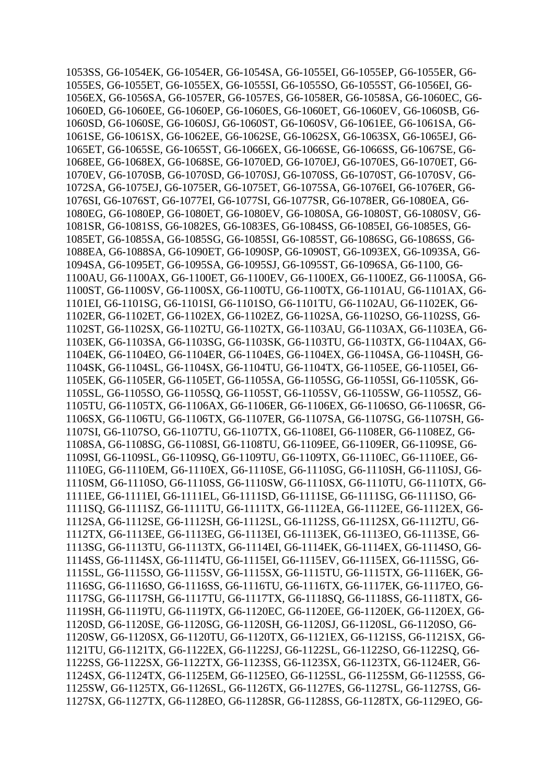1053SS*,* G6-1054EK*,* G6-1054ER*,* G6-1054SA*,* G6-1055EI*,* G6-1055EP*,* G6-1055ER*,* G6- 1055ES*,* G6-1055ET*,* G6-1055EX*,* G6-1055SI*,* G6-1055SO*,* G6-1055ST*,* G6-1056EI*,* G6- 1056EX*,* G6-1056SA*,* G6-1057ER*,* G6-1057ES*,* G6-1058ER*,* G6-1058SA*,* G6-1060EC*,* G6- 1060ED*,* G6-1060EE*,* G6-1060EP*,* G6-1060ES*,* G6-1060ET*,* G6-1060EV*,* G6-1060SB*,* G6- 1060SD*,* G6-1060SE*,* G6-1060SJ*,* G6-1060ST*,* G6-1060SV*,* G6-1061EE*,* G6-1061SA*,* G6- 1061SE*,* G6-1061SX*,* G6-1062EE*,* G6-1062SE*,* G6-1062SX*,* G6-1063SX*,* G6-1065EJ*,* G6- 1065ET*,* G6-1065SE*,* G6-1065ST*,* G6-1066EX*,* G6-1066SE*,* G6-1066SS*,* G6-1067SE*,* G6- 1068EE*,* G6-1068EX*,* G6-1068SE*,* G6-1070ED*,* G6-1070EJ*,* G6-1070ES*,* G6-1070ET*,* G6- 1070EV*,* G6-1070SB*,* G6-1070SD*,* G6-1070SJ*,* G6-1070SS*,* G6-1070ST*,* G6-1070SV*,* G6- 1072SA*,* G6-1075EJ*,* G6-1075ER*,* G6-1075ET*,* G6-1075SA*,* G6-1076EI*,* G6-1076ER*,* G6- 1076SI*,* G6-1076ST*,* G6-1077EI*,* G6-1077SI*,* G6-1077SR*,* G6-1078ER*,* G6-1080EA*,* G6- 1080EG*,* G6-1080EP*,* G6-1080ET*,* G6-1080EV*,* G6-1080SA*,* G6-1080ST*,* G6-1080SV*,* G6- 1081SR*,* G6-1081SS*,* G6-1082ES*,* G6-1083ES*,* G6-1084SS*,* G6-1085EI*,* G6-1085ES*,* G6- 1085ET*,* G6-1085SA*,* G6-1085SG*,* G6-1085SI*,* G6-1085ST*,* G6-1086SG*,* G6-1086SS*,* G6- 1088EA*,* G6-1088SA*,* G6-1090ET*,* G6-1090SP*,* G6-1090ST*,* G6-1093EX*,* G6-1093SA*,* G6- 1094SA*,* G6-1095ET*,* G6-1095SA*,* G6-1095SJ*,* G6-1095ST*,* G6-1096SA*,* G6-1100*,* G6- 1100AU*,* G6-1100AX*,* G6-1100ET*,* G6-1100EV*,* G6-1100EX*,* G6-1100EZ*,* G6-1100SA*,* G6- 1100ST*,* G6-1100SV*,* G6-1100SX*,* G6-1100TU*,* G6-1100TX*,* G6-1101AU*,* G6-1101AX*,* G6- 1101EI*,* G6-1101SG*,* G6-1101SI*,* G6-1101SO*,* G6-1101TU*,* G6-1102AU*,* G6-1102EK*,* G6- 1102ER*,* G6-1102ET*,* G6-1102EX*,* G6-1102EZ*,* G6-1102SA*,* G6-1102SO*,* G6-1102SS*,* G6- 1102ST*,* G6-1102SX*,* G6-1102TU*,* G6-1102TX*,* G6-1103AU*,* G6-1103AX*,* G6-1103EA*,* G6- 1103EK*,* G6-1103SA*,* G6-1103SG*,* G6-1103SK*,* G6-1103TU*,* G6-1103TX*,* G6-1104AX*,* G6- 1104EK*,* G6-1104EO*,* G6-1104ER*,* G6-1104ES*,* G6-1104EX*,* G6-1104SA*,* G6-1104SH*,* G6- 1104SK*,* G6-1104SL*,* G6-1104SX*,* G6-1104TU*,* G6-1104TX*,* G6-1105EE*,* G6-1105EI*,* G6- 1105EK*,* G6-1105ER*,* G6-1105ET*,* G6-1105SA*,* G6-1105SG*,* G6-1105SI*,* G6-1105SK*,* G6- 1105SL*,* G6-1105SO*,* G6-1105SQ*,* G6-1105ST*,* G6-1105SV*,* G6-1105SW*,* G6-1105SZ*,* G6- 1105TU*,* G6-1105TX*,* G6-1106AX*,* G6-1106ER*,* G6-1106EX*,* G6-1106SO*,* G6-1106SR*,* G6- 1106SX*,* G6-1106TU*,* G6-1106TX*,* G6-1107ER*,* G6-1107SA*,* G6-1107SG*,* G6-1107SH*,* G6- 1107SI*,* G6-1107SO*,* G6-1107TU*,* G6-1107TX*,* G6-1108EI*,* G6-1108ER*,* G6-1108EZ*,* G6- 1108SA*,* G6-1108SG*,* G6-1108SI*,* G6-1108TU*,* G6-1109EE*,* G6-1109ER*,* G6-1109SE*,* G6- 1109SI*,* G6-1109SL*,* G6-1109SQ*,* G6-1109TU*,* G6-1109TX*,* G6-1110EC*,* G6-1110EE*,* G6- 1110EG*,* G6-1110EM*,* G6-1110EX*,* G6-1110SE*,* G6-1110SG*,* G6-1110SH*,* G6-1110SJ*,* G6- 1110SM*,* G6-1110SO*,* G6-1110SS*,* G6-1110SW*,* G6-1110SX*,* G6-1110TU*,* G6-1110TX*,* G6- 1111EE*,* G6-1111EI*,* G6-1111EL*,* G6-1111SD*,* G6-1111SE*,* G6-1111SG*,* G6-1111SO*,* G6- 1111SQ*,* G6-1111SZ*,* G6-1111TU*,* G6-1111TX*,* G6-1112EA*,* G6-1112EE*,* G6-1112EX*,* G6- 1112SA*,* G6-1112SE*,* G6-1112SH*,* G6-1112SL*,* G6-1112SS*,* G6-1112SX*,* G6-1112TU*,* G6- 1112TX*,* G6-1113EE*,* G6-1113EG*,* G6-1113EI*,* G6-1113EK*,* G6-1113EO*,* G6-1113SE*,* G6- 1113SG*,* G6-1113TU*,* G6-1113TX*,* G6-1114EI*,* G6-1114EK*,* G6-1114EX*,* G6-1114SO*,* G6- 1114SS*,* G6-1114SX*,* G6-1114TU*,* G6-1115EI*,* G6-1115EV*,* G6-1115EX*,* G6-1115SG*,* G6- 1115SL*,* G6-1115SO*,* G6-1115SV*,* G6-1115SX*,* G6-1115TU*,* G6-1115TX*,* G6-1116EK*,* G6- 1116SG*,* G6-1116SO*,* G6-1116SS*,* G6-1116TU*,* G6-1116TX*,* G6-1117EK*,* G6-1117EO*,* G6- 1117SG*,* G6-1117SH*,* G6-1117TU*,* G6-1117TX*,* G6-1118SQ*,* G6-1118SS*,* G6-1118TX*,* G6- 1119SH*,* G6-1119TU*,* G6-1119TX*,* G6-1120EC*,* G6-1120EE*,* G6-1120EK*,* G6-1120EX*,* G6- 1120SD*,* G6-1120SE*,* G6-1120SG*,* G6-1120SH*,* G6-1120SJ*,* G6-1120SL*,* G6-1120SO*,* G6- 1120SW*,* G6-1120SX*,* G6-1120TU*,* G6-1120TX*,* G6-1121EX*,* G6-1121SS*,* G6-1121SX*,* G6- 1121TU*,* G6-1121TX*,* G6-1122EX*,* G6-1122SJ*,* G6-1122SL*,* G6-1122SO*,* G6-1122SQ*,* G6- 1122SS*,* G6-1122SX*,* G6-1122TX*,* G6-1123SS*,* G6-1123SX*,* G6-1123TX*,* G6-1124ER*,* G6- 1124SX*,* G6-1124TX*,* G6-1125EM*,* G6-1125EO*,* G6-1125SL*,* G6-1125SM*,* G6-1125SS*,* G6- 1125SW*,* G6-1125TX*,* G6-1126SL*,* G6-1126TX*,* G6-1127ES*,* G6-1127SL*,* G6-1127SS*,* G6- 1127SX*,* G6-1127TX*,* G6-1128EO*,* G6-1128SR*,* G6-1128SS*,* G6-1128TX*,* G6-1129EO*,* G6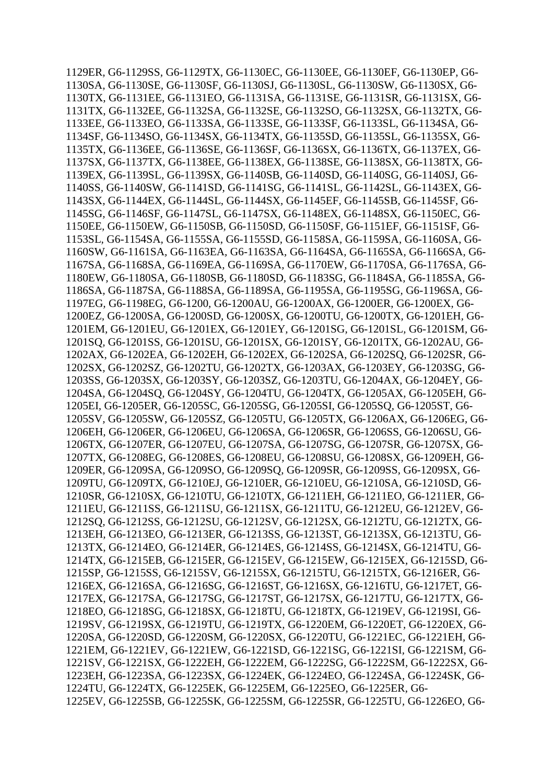1129ER*,* G6-1129SS*,* G6-1129TX*,* G6-1130EC*,* G6-1130EE*,* G6-1130EF*,* G6-1130EP*,* G6- 1130SA*,* G6-1130SE*,* G6-1130SF*,* G6-1130SJ*,* G6-1130SL*,* G6-1130SW*,* G6-1130SX*,* G6- 1130TX*,* G6-1131EE*,* G6-1131EO*,* G6-1131SA*,* G6-1131SE*,* G6-1131SR*,* G6-1131SX*,* G6- 1131TX*,* G6-1132EE*,* G6-1132SA*,* G6-1132SE*,* G6-1132SO*,* G6-1132SX*,* G6-1132TX*,* G6- 1133EE*,* G6-1133EO*,* G6-1133SA*,* G6-1133SE*,* G6-1133SF*,* G6-1133SL*,* G6-1134SA*,* G6- 1134SF*,* G6-1134SO*,* G6-1134SX*,* G6-1134TX*,* G6-1135SD*,* G6-1135SL*,* G6-1135SX*,* G6- 1135TX*,* G6-1136EE*,* G6-1136SE*,* G6-1136SF*,* G6-1136SX*,* G6-1136TX*,* G6-1137EX*,* G6- 1137SX*,* G6-1137TX*,* G6-1138EE*,* G6-1138EX*,* G6-1138SE*,* G6-1138SX*,* G6-1138TX*,* G6- 1139EX*,* G6-1139SL*,* G6-1139SX*,* G6-1140SB*,* G6-1140SD*,* G6-1140SG*,* G6-1140SJ*,* G6- 1140SS*,* G6-1140SW*,* G6-1141SD*,* G6-1141SG*,* G6-1141SL*,* G6-1142SL*,* G6-1143EX*,* G6- 1143SX*,* G6-1144EX*,* G6-1144SL*,* G6-1144SX*,* G6-1145EF*,* G6-1145SB*,* G6-1145SF*,* G6- 1145SG*,* G6-1146SF*,* G6-1147SL*,* G6-1147SX*,* G6-1148EX*,* G6-1148SX*,* G6-1150EC*,* G6- 1150EE*,* G6-1150EW*,* G6-1150SB*,* G6-1150SD*,* G6-1150SF*,* G6-1151EF*,* G6-1151SF*,* G6- 1153SL*,* G6-1154SA*,* G6-1155SA*,* G6-1155SD*,* G6-1158SA*,* G6-1159SA*,* G6-1160SA*,* G6- 1160SW*,* G6-1161SA*,* G6-1163EA*,* G6-1163SA*,* G6-1164SA*,* G6-1165SA*,* G6-1166SA*,* G6- 1167SA*,* G6-1168SA*,* G6-1169EA*,* G6-1169SA*,* G6-1170EW*,* G6-1170SA*,* G6-1176SA*,* G6- 1180EW*,* G6-1180SA*,* G6-1180SB*,* G6-1180SD*,* G6-1183SG*,* G6-1184SA*,* G6-1185SA*,* G6- 1186SA*,* G6-1187SA*,* G6-1188SA*,* G6-1189SA*,* G6-1195SA*,* G6-1195SG*,* G6-1196SA*,* G6- 1197EG*,* G6-1198EG*,* G6-1200*,* G6-1200AU*,* G6-1200AX*,* G6-1200ER*,* G6-1200EX*,* G6- 1200EZ*,* G6-1200SA*,* G6-1200SD*,* G6-1200SX*,* G6-1200TU*,* G6-1200TX*,* G6-1201EH*,* G6- 1201EM*,* G6-1201EU*,* G6-1201EX*,* G6-1201EY*,* G6-1201SG*,* G6-1201SL*,* G6-1201SM*,* G6- 1201SQ*,* G6-1201SS*,* G6-1201SU*,* G6-1201SX*,* G6-1201SY*,* G6-1201TX*,* G6-1202AU*,* G6- 1202AX*,* G6-1202EA*,* G6-1202EH*,* G6-1202EX*,* G6-1202SA*,* G6-1202SQ*,* G6-1202SR*,* G6- 1202SX*,* G6-1202SZ*,* G6-1202TU*,* G6-1202TX*,* G6-1203AX*,* G6-1203EY*,* G6-1203SG*,* G6- 1203SS*,* G6-1203SX*,* G6-1203SY*,* G6-1203SZ*,* G6-1203TU*,* G6-1204AX*,* G6-1204EY*,* G6- 1204SA*,* G6-1204SQ*,* G6-1204SY*,* G6-1204TU*,* G6-1204TX*,* G6-1205AX*,* G6-1205EH*,* G6- 1205EI*,* G6-1205ER*,* G6-1205SC*,* G6-1205SG*,* G6-1205SI*,* G6-1205SQ*,* G6-1205ST*,* G6- 1205SV*,* G6-1205SW*,* G6-1205SZ*,* G6-1205TU*,* G6-1205TX*,* G6-1206AX*,* G6-1206EG*,* G6- 1206EH*,* G6-1206ER*,* G6-1206EU*,* G6-1206SA*,* G6-1206SR*,* G6-1206SS*,* G6-1206SU*,* G6- 1206TX*,* G6-1207ER*,* G6-1207EU*,* G6-1207SA*,* G6-1207SG*,* G6-1207SR*,* G6-1207SX*,* G6- 1207TX*,* G6-1208EG*,* G6-1208ES*,* G6-1208EU*,* G6-1208SU*,* G6-1208SX*,* G6-1209EH*,* G6- 1209ER*,* G6-1209SA*,* G6-1209SO*,* G6-1209SQ*,* G6-1209SR*,* G6-1209SS*,* G6-1209SX*,* G6- 1209TU*,* G6-1209TX*,* G6-1210EJ*,* G6-1210ER*,* G6-1210EU*,* G6-1210SA*,* G6-1210SD*,* G6- 1210SR*,* G6-1210SX*,* G6-1210TU*,* G6-1210TX*,* G6-1211EH*,* G6-1211EO*,* G6-1211ER*,* G6- 1211EU*,* G6-1211SS*,* G6-1211SU*,* G6-1211SX*,* G6-1211TU*,* G6-1212EU*,* G6-1212EV*,* G6- 1212SQ*,* G6-1212SS*,* G6-1212SU*,* G6-1212SV*,* G6-1212SX*,* G6-1212TU*,* G6-1212TX*,* G6- 1213EH*,* G6-1213EO*,* G6-1213ER*,* G6-1213SS*,* G6-1213ST*,* G6-1213SX*,* G6-1213TU*,* G6- 1213TX*,* G6-1214EO*,* G6-1214ER*,* G6-1214ES*,* G6-1214SS*,* G6-1214SX*,* G6-1214TU*,* G6- 1214TX*,* G6-1215EB*,* G6-1215ER*,* G6-1215EV*,* G6-1215EW*,* G6-1215EX*,* G6-1215SD*,* G6- 1215SP*,* G6-1215SS*,* G6-1215SV*,* G6-1215SX*,* G6-1215TU*,* G6-1215TX*,* G6-1216ER*,* G6- 1216EX*,* G6-1216SA*,* G6-1216SG*,* G6-1216ST*,* G6-1216SX*,* G6-1216TU*,* G6-1217ET*,* G6- 1217EX*,* G6-1217SA*,* G6-1217SG*,* G6-1217ST*,* G6-1217SX*,* G6-1217TU*,* G6-1217TX*,* G6- 1218EO*,* G6-1218SG*,* G6-1218SX*,* G6-1218TU*,* G6-1218TX*,* G6-1219EV*,* G6-1219SI*,* G6- 1219SV*,* G6-1219SX*,* G6-1219TU*,* G6-1219TX*,* G6-1220EM*,* G6-1220ET*,* G6-1220EX*,* G6- 1220SA*,* G6-1220SD*,* G6-1220SM*,* G6-1220SX*,* G6-1220TU*,* G6-1221EC*,* G6-1221EH*,* G6- 1221EM*,* G6-1221EV*,* G6-1221EW*,* G6-1221SD*,* G6-1221SG*,* G6-1221SI*,* G6-1221SM*,* G6- 1221SV*,* G6-1221SX*,* G6-1222EH*,* G6-1222EM*,* G6-1222SG*,* G6-1222SM*,* G6-1222SX*,* G6- 1223EH*,* G6-1223SA*,* G6-1223SX*,* G6-1224EK*,* G6-1224EO*,* G6-1224SA*,* G6-1224SK*,* G6- 1224TU*,* G6-1224TX*,* G6-1225EK*,* G6-1225EM*,* G6-1225EO*,* G6-1225ER*,* G6- 1225EV*,* G6-1225SB*,* G6-1225SK*,* G6-1225SM*,* G6-1225SR*,* G6-1225TU*,* G6-1226EO*,* G6-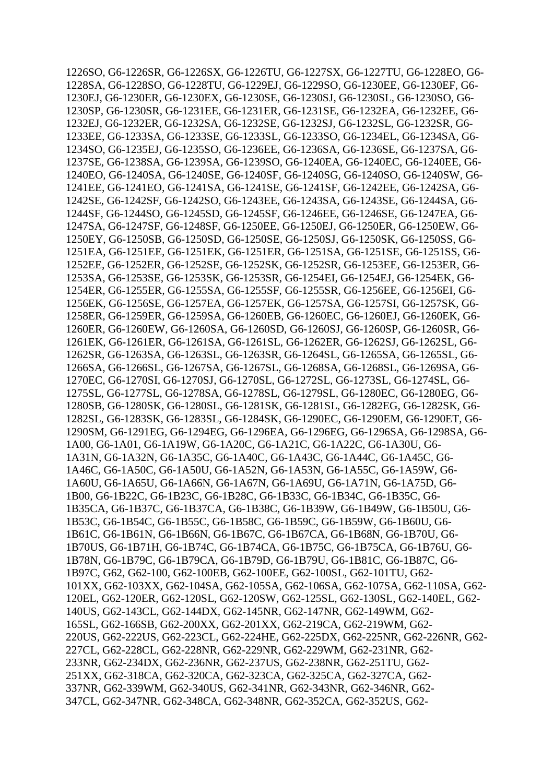1226SO*,* G6-1226SR*,* G6-1226SX*,* G6-1226TU*,* G6-1227SX*,* G6-1227TU*,* G6-1228EO*,* G6- 1228SA*,* G6-1228SO*,* G6-1228TU*,* G6-1229EJ*,* G6-1229SO*,* G6-1230EE*,* G6-1230EF*,* G6- 1230EJ*,* G6-1230ER*,* G6-1230EX*,* G6-1230SE*,* G6-1230SJ*,* G6-1230SL*,* G6-1230SO*,* G6- 1230SP*,* G6-1230SR*,* G6-1231EE*,* G6-1231ER*,* G6-1231SE*,* G6-1232EA*,* G6-1232EE*,* G6- 1232EJ*,* G6-1232ER*,* G6-1232SA*,* G6-1232SE*,* G6-1232SJ*,* G6-1232SL*,* G6-1232SR*,* G6- 1233EE*,* G6-1233SA*,* G6-1233SE*,* G6-1233SL*,* G6-1233SO*,* G6-1234EL*,* G6-1234SA*,* G6- 1234SO*,* G6-1235EJ*,* G6-1235SO*,* G6-1236EE*,* G6-1236SA*,* G6-1236SE*,* G6-1237SA*,* G6- 1237SE*,* G6-1238SA*,* G6-1239SA*,* G6-1239SO*,* G6-1240EA*,* G6-1240EC*,* G6-1240EE*,* G6- 1240EO*,* G6-1240SA*,* G6-1240SE*,* G6-1240SF*,* G6-1240SG*,* G6-1240SO*,* G6-1240SW*,* G6- 1241EE*,* G6-1241EO*,* G6-1241SA*,* G6-1241SE*,* G6-1241SF*,* G6-1242EE*,* G6-1242SA*,* G6- 1242SE*,* G6-1242SF*,* G6-1242SO*,* G6-1243EE*,* G6-1243SA*,* G6-1243SE*,* G6-1244SA*,* G6- 1244SF*,* G6-1244SO*,* G6-1245SD*,* G6-1245SF*,* G6-1246EE*,* G6-1246SE*,* G6-1247EA*,* G6- 1247SA*,* G6-1247SF*,* G6-1248SF*,* G6-1250EE*,* G6-1250EJ*,* G6-1250ER*,* G6-1250EW*,* G6- 1250EY*,* G6-1250SB*,* G6-1250SD*,* G6-1250SE*,* G6-1250SJ*,* G6-1250SK*,* G6-1250SS*,* G6- 1251EA*,* G6-1251EE*,* G6-1251EK*,* G6-1251ER*,* G6-1251SA*,* G6-1251SE*,* G6-1251SS*,* G6- 1252EE*,* G6-1252ER*,* G6-1252SE*,* G6-1252SK*,* G6-1252SR*,* G6-1253EE*,* G6-1253ER*,* G6- 1253SA*,* G6-1253SE*,* G6-1253SK*,* G6-1253SR*,* G6-1254EI*,* G6-1254EJ*,* G6-1254EK*,* G6- 1254ER*,* G6-1255ER*,* G6-1255SA*,* G6-1255SF*,* G6-1255SR*,* G6-1256EE*,* G6-1256EI*,* G6- 1256EK*,* G6-1256SE*,* G6-1257EA*,* G6-1257EK*,* G6-1257SA*,* G6-1257SI*,* G6-1257SK*,* G6- 1258ER*,* G6-1259ER*,* G6-1259SA*,* G6-1260EB*,* G6-1260EC*,* G6-1260EJ*,* G6-1260EK*,* G6- 1260ER*,* G6-1260EW*,* G6-1260SA*,* G6-1260SD*,* G6-1260SJ*,* G6-1260SP*,* G6-1260SR*,* G6- 1261EK*,* G6-1261ER*,* G6-1261SA*,* G6-1261SL*,* G6-1262ER*,* G6-1262SJ*,* G6-1262SL*,* G6- 1262SR*,* G6-1263SA*,* G6-1263SL*,* G6-1263SR*,* G6-1264SL*,* G6-1265SA*,* G6-1265SL*,* G6- 1266SA*,* G6-1266SL*,* G6-1267SA*,* G6-1267SL*,* G6-1268SA*,* G6-1268SL*,* G6-1269SA*,* G6- 1270EC*,* G6-1270SI*,* G6-1270SJ*,* G6-1270SL*,* G6-1272SL*,* G6-1273SL*,* G6-1274SL*,* G6- 1275SL*,* G6-1277SL*,* G6-1278SA*,* G6-1278SL*,* G6-1279SL*,* G6-1280EC*,* G6-1280EG*,* G6- 1280SB*,* G6-1280SK*,* G6-1280SL*,* G6-1281SK*,* G6-1281SL*,* G6-1282EG*,* G6-1282SK*,* G6- 1282SL*,* G6-1283SK*,* G6-1283SL*,* G6-1284SK*,* G6-1290EC*,* G6-1290EM*,* G6-1290ET*,* G6- 1290SM*,* G6-1291EG*,* G6-1294EG*,* G6-1296EA*,* G6-1296EG*,* G6-1296SA*,* G6-1298SA*,* G6- 1A00*,* G6-1A01*,* G6-1A19W*,* G6-1A20C*,* G6-1A21C*,* G6-1A22C*,* G6-1A30U*,* G6- 1A31N*,* G6-1A32N*,* G6-1A35C*,* G6-1A40C*,* G6-1A43C*,* G6-1A44C*,* G6-1A45C*,* G6- 1A46C*,* G6-1A50C*,* G6-1A50U*,* G6-1A52N*,* G6-1A53N*,* G6-1A55C*,* G6-1A59W*,* G6- 1A60U*,* G6-1A65U*,* G6-1A66N*,* G6-1A67N*,* G6-1A69U*,* G6-1A71N*,* G6-1A75D*,* G6- 1B00*,* G6-1B22C*,* G6-1B23C*,* G6-1B28C*,* G6-1B33C*,* G6-1B34C*,* G6-1B35C*,* G6- 1B35CA*,* G6-1B37C*,* G6-1B37CA*,* G6-1B38C*,* G6-1B39W*,* G6-1B49W*,* G6-1B50U*,* G6- 1B53C*,* G6-1B54C*,* G6-1B55C*,* G6-1B58C*,* G6-1B59C*,* G6-1B59W*,* G6-1B60U*,* G6- 1B61C*,* G6-1B61N*,* G6-1B66N*,* G6-1B67C*,* G6-1B67CA*,* G6-1B68N*,* G6-1B70U*,* G6- 1B70US*,* G6-1B71H*,* G6-1B74C*,* G6-1B74CA*,* G6-1B75C*,* G6-1B75CA*,* G6-1B76U*,* G6- 1B78N*,* G6-1B79C*,* G6-1B79CA*,* G6-1B79D*,* G6-1B79U*,* G6-1B81C*,* G6-1B87C*,* G6- 1B97C*,* G62*,* G62-100*,* G62-100EB*,* G62-100EE*,* G62-100SL*,* G62-101TU*,* G62- 101XX*,* G62-103XX*,* G62-104SA*,* G62-105SA*,* G62-106SA*,* G62-107SA*,* G62-110SA*,* G62- 120EL*,* G62-120ER*,* G62-120SL*,* G62-120SW*,* G62-125SL*,* G62-130SL*,* G62-140EL*,* G62- 140US*,* G62-143CL*,* G62-144DX*,* G62-145NR*,* G62-147NR*,* G62-149WM*,* G62- 165SL*,* G62-166SB*,* G62-200XX*,* G62-201XX*,* G62-219CA*,* G62-219WM*,* G62- 220US*,* G62-222US*,* G62-223CL*,* G62-224HE*,* G62-225DX*,* G62-225NR*,* G62-226NR*,* G62- 227CL*,* G62-228CL*,* G62-228NR*,* G62-229NR*,* G62-229WM*,* G62-231NR*,* G62- 233NR*,* G62-234DX*,* G62-236NR*,* G62-237US*,* G62-238NR*,* G62-251TU*,* G62- 251XX*,* G62-318CA*,* G62-320CA*,* G62-323CA*,* G62-325CA*,* G62-327CA*,* G62- 337NR*,* G62-339WM*,* G62-340US*,* G62-341NR*,* G62-343NR*,* G62-346NR*,* G62- 347CL*,* G62-347NR*,* G62-348CA*,* G62-348NR*,* G62-352CA*,* G62-352US*,* G62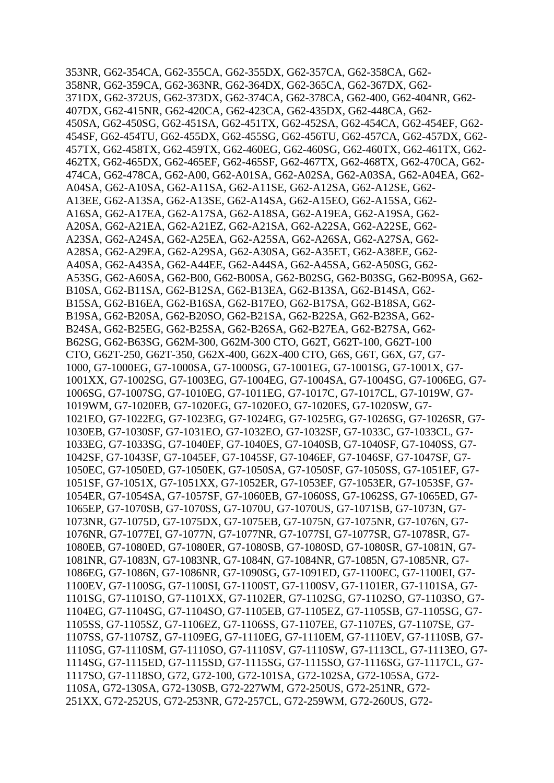353NR*,* G62-354CA*,* G62-355CA*,* G62-355DX*,* G62-357CA*,* G62-358CA*,* G62- 358NR*,* G62-359CA*,* G62-363NR*,* G62-364DX*,* G62-365CA*,* G62-367DX*,* G62- 371DX*,* G62-372US*,* G62-373DX*,* G62-374CA*,* G62-378CA*,* G62-400*,* G62-404NR*,* G62- 407DX*,* G62-415NR*,* G62-420CA*,* G62-423CA*,* G62-435DX*,* G62-448CA*,* G62- 450SA*,* G62-450SG*,* G62-451SA*,* G62-451TX*,* G62-452SA*,* G62-454CA*,* G62-454EF*,* G62- 454SF*,* G62-454TU*,* G62-455DX*,* G62-455SG*,* G62-456TU*,* G62-457CA*,* G62-457DX*,* G62- 457TX*,* G62-458TX*,* G62-459TX*,* G62-460EG*,* G62-460SG*,* G62-460TX*,* G62-461TX*,* G62- 462TX*,* G62-465DX*,* G62-465EF*,* G62-465SF*,* G62-467TX*,* G62-468TX*,* G62-470CA*,* G62- 474CA*,* G62-478CA*,* G62-A00*,* G62-A01SA*,* G62-A02SA*,* G62-A03SA*,* G62-A04EA*,* G62- A04SA*,* G62-A10SA*,* G62-A11SA*,* G62-A11SE*,* G62-A12SA*,* G62-A12SE*,* G62- A13EE*,* G62-A13SA*,* G62-A13SE*,* G62-A14SA*,* G62-A15EO*,* G62-A15SA*,* G62- A16SA*,* G62-A17EA*,* G62-A17SA*,* G62-A18SA*,* G62-A19EA*,* G62-A19SA*,* G62- A20SA*,* G62-A21EA*,* G62-A21EZ*,* G62-A21SA*,* G62-A22SA*,* G62-A22SE*,* G62- A23SA*,* G62-A24SA*,* G62-A25EA*,* G62-A25SA*,* G62-A26SA*,* G62-A27SA*,* G62- A28SA*,* G62-A29EA*,* G62-A29SA*,* G62-A30SA*,* G62-A35ET*,* G62-A38EE*,* G62- A40SA*,* G62-A43SA*,* G62-A44EE*,* G62-A44SA*,* G62-A45SA*,* G62-A50SG*,* G62- A53SG*,* G62-A60SA*,* G62-B00*,* G62-B00SA*,* G62-B02SG*,* G62-B03SG*,* G62-B09SA*,* G62- B10SA*,* G62-B11SA*,* G62-B12SA*,* G62-B13EA*,* G62-B13SA*,* G62-B14SA*,* G62- B15SA*,* G62-B16EA*,* G62-B16SA*,* G62-B17EO*,* G62-B17SA*,* G62-B18SA*,* G62- B19SA*,* G62-B20SA*,* G62-B20SO*,* G62-B21SA*,* G62-B22SA*,* G62-B23SA*,* G62- B24SA*,* G62-B25EG*,* G62-B25SA*,* G62-B26SA*,* G62-B27EA*,* G62-B27SA*,* G62- B62SG*,* G62-B63SG*,* G62M-300*,* G62M-300 CTO*,* G62T*,* G62T-100*,* G62T-100 CTO*,* G62T-250*,* G62T-350*,* G62X-400*,* G62X-400 CTO*,* G6S*,* G6T*,* G6X*,* G7*,* G7- 1000*,* G7-1000EG*,* G7-1000SA*,* G7-1000SG*,* G7-1001EG*,* G7-1001SG*,* G7-1001X*,* G7- 1001XX*,* G7-1002SG*,* G7-1003EG*,* G7-1004EG*,* G7-1004SA*,* G7-1004SG*,* G7-1006EG*,* G7- 1006SG*,* G7-1007SG*,* G7-1010EG*,* G7-1011EG*,* G7-1017C*,* G7-1017CL*,* G7-1019W*,* G7- 1019WM*,* G7-1020EB*,* G7-1020EG*,* G7-1020EO*,* G7-1020ES*,* G7-1020SW*,* G7- 1021EO*,* G7-1022EG*,* G7-1023EG*,* G7-1024EG*,* G7-1025EG*,* G7-1026SG*,* G7-1026SR*,* G7- 1030EB*,* G7-1030SF*,* G7-1031EO*,* G7-1032EO*,* G7-1032SF*,* G7-1033C*,* G7-1033CL*,* G7- 1033EG*,* G7-1033SG*,* G7-1040EF*,* G7-1040ES*,* G7-1040SB*,* G7-1040SF*,* G7-1040SS*,* G7- 1042SF*,* G7-1043SF*,* G7-1045EF*,* G7-1045SF*,* G7-1046EF*,* G7-1046SF*,* G7-1047SF*,* G7- 1050EC*,* G7-1050ED*,* G7-1050EK*,* G7-1050SA*,* G7-1050SF*,* G7-1050SS*,* G7-1051EF*,* G7- 1051SF*,* G7-1051X*,* G7-1051XX*,* G7-1052ER*,* G7-1053EF*,* G7-1053ER*,* G7-1053SF*,* G7- 1054ER*,* G7-1054SA*,* G7-1057SF*,* G7-1060EB*,* G7-1060SS*,* G7-1062SS*,* G7-1065ED*,* G7- 1065EP*,* G7-1070SB*,* G7-1070SS*,* G7-1070U*,* G7-1070US*,* G7-1071SB*,* G7-1073N*,* G7- 1073NR*,* G7-1075D*,* G7-1075DX*,* G7-1075EB*,* G7-1075N*,* G7-1075NR*,* G7-1076N*,* G7- 1076NR*,* G7-1077EI*,* G7-1077N*,* G7-1077NR*,* G7-1077SI*,* G7-1077SR*,* G7-1078SR*,* G7- 1080EB*,* G7-1080ED*,* G7-1080ER*,* G7-1080SB*,* G7-1080SD*,* G7-1080SR*,* G7-1081N*,* G7- 1081NR*,* G7-1083N*,* G7-1083NR*,* G7-1084N*,* G7-1084NR*,* G7-1085N*,* G7-1085NR*,* G7- 1086EG*,* G7-1086N*,* G7-1086NR*,* G7-1090SG*,* G7-1091ED*,* G7-1100EC*,* G7-1100EI*,* G7- 1100EV*,* G7-1100SG*,* G7-1100SI*,* G7-1100ST*,* G7-1100SV*,* G7-1101ER*,* G7-1101SA*,* G7- 1101SG*,* G7-1101SO*,* G7-1101XX*,* G7-1102ER*,* G7-1102SG*,* G7-1102SO*,* G7-1103SO*,* G7- 1104EG*,* G7-1104SG*,* G7-1104SO*,* G7-1105EB*,* G7-1105EZ*,* G7-1105SB*,* G7-1105SG*,* G7- 1105SS*,* G7-1105SZ*,* G7-1106EZ*,* G7-1106SS*,* G7-1107EE*,* G7-1107ES*,* G7-1107SE*,* G7- 1107SS*,* G7-1107SZ*,* G7-1109EG*,* G7-1110EG*,* G7-1110EM*,* G7-1110EV*,* G7-1110SB*,* G7- 1110SG*,* G7-1110SM*,* G7-1110SO*,* G7-1110SV*,* G7-1110SW*,* G7-1113CL*,* G7-1113EO*,* G7- 1114SG*,* G7-1115ED*,* G7-1115SD*,* G7-1115SG*,* G7-1115SO*,* G7-1116SG*,* G7-1117CL*,* G7- 1117SO*,* G7-1118SO*,* G72*,* G72-100*,* G72-101SA*,* G72-102SA*,* G72-105SA*,* G72- 110SA*,* G72-130SA*,* G72-130SB*,* G72-227WM*,* G72-250US*,* G72-251NR*,* G72- 251XX*,* G72-252US*,* G72-253NR*,* G72-257CL*,* G72-259WM*,* G72-260US*,* G72